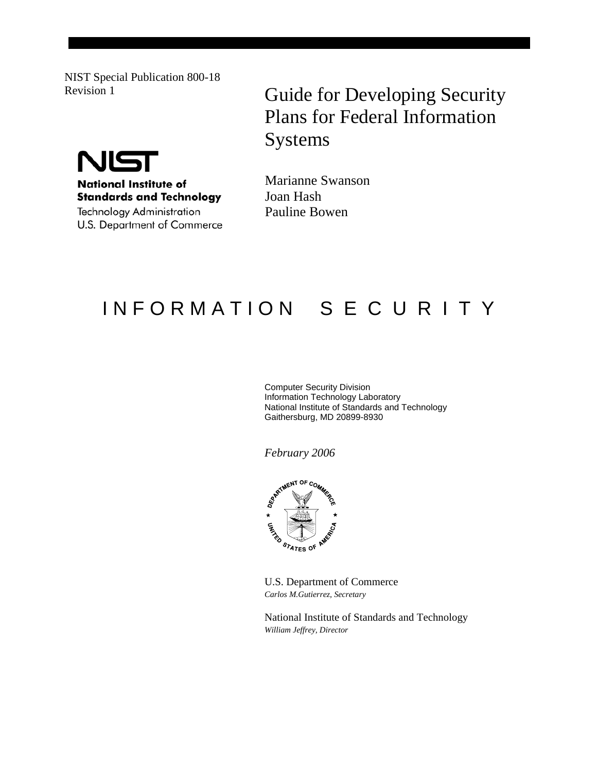NIST Special Publication 800-18



**National Institute of Standards and Technology** 

Technology Administration U.S. Department of Commerce

# Revision 1 **Guide for Developing Security** Plans for Federal Information Systems

Marianne Swanson Joan Hash Pauline Bowen

# IN FORMATION SECURITY

Computer Security Division Information Technology Laboratory National Institute of Standards and Technology Gaithersburg, MD 20899-8930

*February 2006*



U.S. Department of Commerce *Carlos M.Gutierrez, Secretary* 

National Institute of Standards and Technology *William Jeffrey, Director*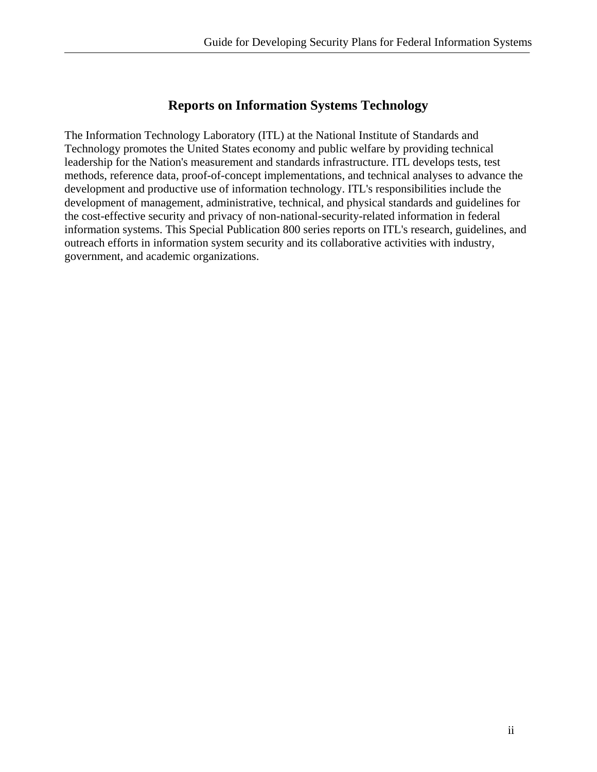# **Reports on Information Systems Technology**

The Information Technology Laboratory (ITL) at the National Institute of Standards and Technology promotes the United States economy and public welfare by providing technical leadership for the Nation's measurement and standards infrastructure. ITL develops tests, test methods, reference data, proof-of-concept implementations, and technical analyses to advance the development and productive use of information technology. ITL's responsibilities include the development of management, administrative, technical, and physical standards and guidelines for the cost-effective security and privacy of non-national-security-related information in federal information systems. This Special Publication 800 series reports on ITL's research, guidelines, and outreach efforts in information system security and its collaborative activities with industry, government, and academic organizations.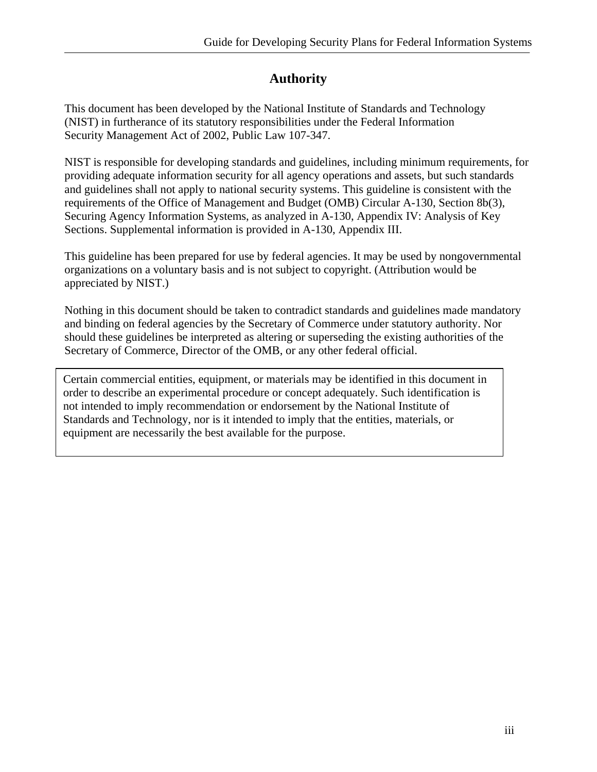# **Authority**

This document has been developed by the National Institute of Standards and Technology (NIST) in furtherance of its statutory responsibilities under the Federal Information Security Management Act of 2002, Public Law 107-347.

NIST is responsible for developing standards and guidelines, including minimum requirements, for providing adequate information security for all agency operations and assets, but such standards and guidelines shall not apply to national security systems. This guideline is consistent with the requirements of the Office of Management and Budget (OMB) Circular A-130, Section 8b(3), Securing Agency Information Systems, as analyzed in A-130, Appendix IV: Analysis of Key Sections. Supplemental information is provided in A-130, Appendix III.

This guideline has been prepared for use by federal agencies. It may be used by nongovernmental organizations on a voluntary basis and is not subject to copyright. (Attribution would be appreciated by NIST.)

Nothing in this document should be taken to contradict standards and guidelines made mandatory and binding on federal agencies by the Secretary of Commerce under statutory authority. Nor should these guidelines be interpreted as altering or superseding the existing authorities of the Secretary of Commerce, Director of the OMB, or any other federal official.

Certain commercial entities, equipment, or materials may be identified in this document in order to describe an experimental procedure or concept adequately. Such identification is not intended to imply recommendation or endorsement by the National Institute of Standards and Technology, nor is it intended to imply that the entities, materials, or equipment are necessarily the best available for the purpose.

l,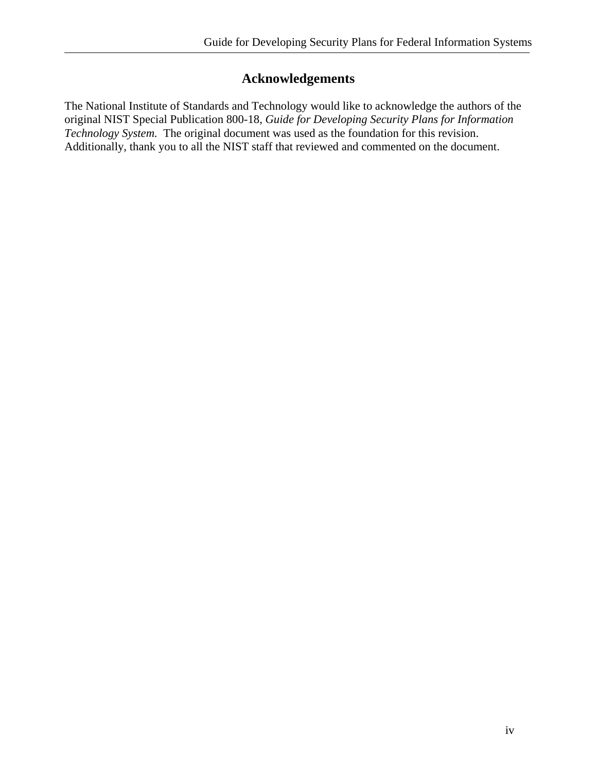# **Acknowledgements**

The National Institute of Standards and Technology would like to acknowledge the authors of the original NIST Special Publication 800-18, *Guide for Developing Security Plans for Information Technology System.* The original document was used as the foundation for this revision. Additionally, thank you to all the NIST staff that reviewed and commented on the document.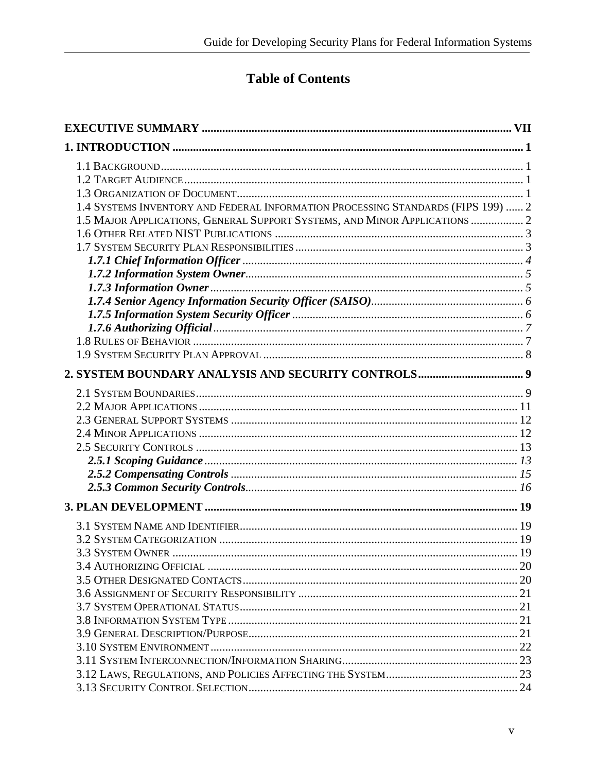# **Table of Contents**

| 1.4 SYSTEMS INVENTORY AND FEDERAL INFORMATION PROCESSING STANDARDS (FIPS 199)  2 |  |
|----------------------------------------------------------------------------------|--|
| 1.5 MAJOR APPLICATIONS, GENERAL SUPPORT SYSTEMS, AND MINOR APPLICATIONS  2       |  |
|                                                                                  |  |
|                                                                                  |  |
|                                                                                  |  |
|                                                                                  |  |
|                                                                                  |  |
|                                                                                  |  |
|                                                                                  |  |
|                                                                                  |  |
|                                                                                  |  |
|                                                                                  |  |
|                                                                                  |  |
|                                                                                  |  |
|                                                                                  |  |
|                                                                                  |  |
|                                                                                  |  |
|                                                                                  |  |
|                                                                                  |  |
|                                                                                  |  |
|                                                                                  |  |
|                                                                                  |  |
|                                                                                  |  |
|                                                                                  |  |
|                                                                                  |  |
|                                                                                  |  |
|                                                                                  |  |
|                                                                                  |  |
|                                                                                  |  |
|                                                                                  |  |
|                                                                                  |  |
|                                                                                  |  |
|                                                                                  |  |
|                                                                                  |  |
|                                                                                  |  |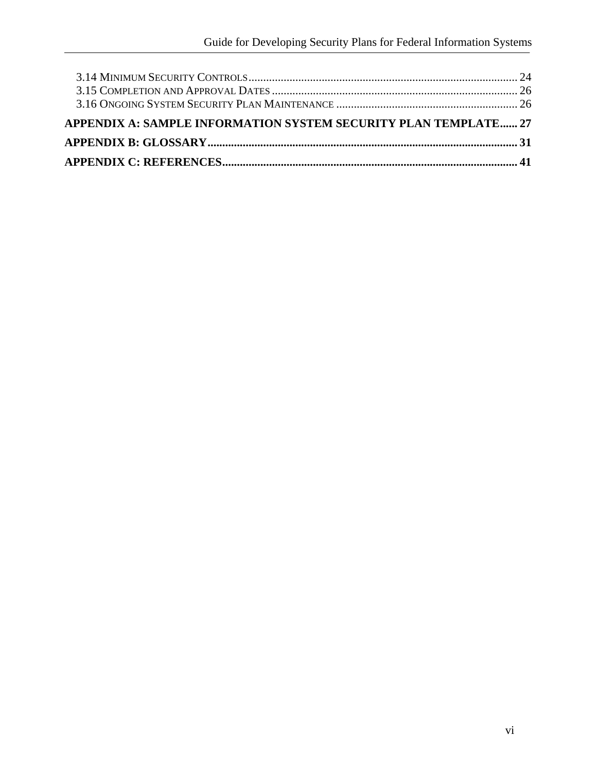| APPENDIX A: SAMPLE INFORMATION SYSTEM SECURITY PLAN TEMPLATE 27 |  |
|-----------------------------------------------------------------|--|
|                                                                 |  |
|                                                                 |  |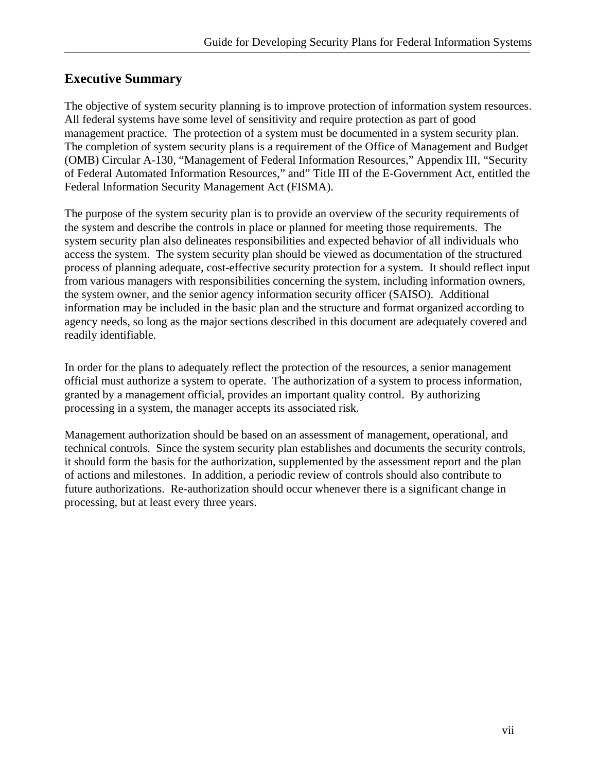# <span id="page-6-0"></span>**Executive Summary**

The objective of system security planning is to improve protection of information system resources. All federal systems have some level of sensitivity and require protection as part of good management practice. The protection of a system must be documented in a system security plan. The completion of system security plans is a requirement of the Office of Management and Budget (OMB) Circular A-130, "Management of Federal Information Resources," Appendix III, "Security of Federal Automated Information Resources," and" Title III of the E-Government Act, entitled the Federal Information Security Management Act (FISMA).

The purpose of the system security plan is to provide an overview of the security requirements of the system and describe the controls in place or planned for meeting those requirements. The system security plan also delineates responsibilities and expected behavior of all individuals who access the system. The system security plan should be viewed as documentation of the structured process of planning adequate, cost-effective security protection for a system. It should reflect input from various managers with responsibilities concerning the system, including information owners, the system owner, and the senior agency information security officer (SAISO). Additional information may be included in the basic plan and the structure and format organized according to agency needs, so long as the major sections described in this document are adequately covered and readily identifiable.

In order for the plans to adequately reflect the protection of the resources, a senior management official must authorize a system to operate. The authorization of a system to process information, granted by a management official, provides an important quality control. By authorizing processing in a system, the manager accepts its associated risk.

Management authorization should be based on an assessment of management, operational, and technical controls. Since the system security plan establishes and documents the security controls, it should form the basis for the authorization, supplemented by the assessment report and the plan of actions and milestones. In addition, a periodic review of controls should also contribute to future authorizations. Re-authorization should occur whenever there is a significant change in processing, but at least every three years.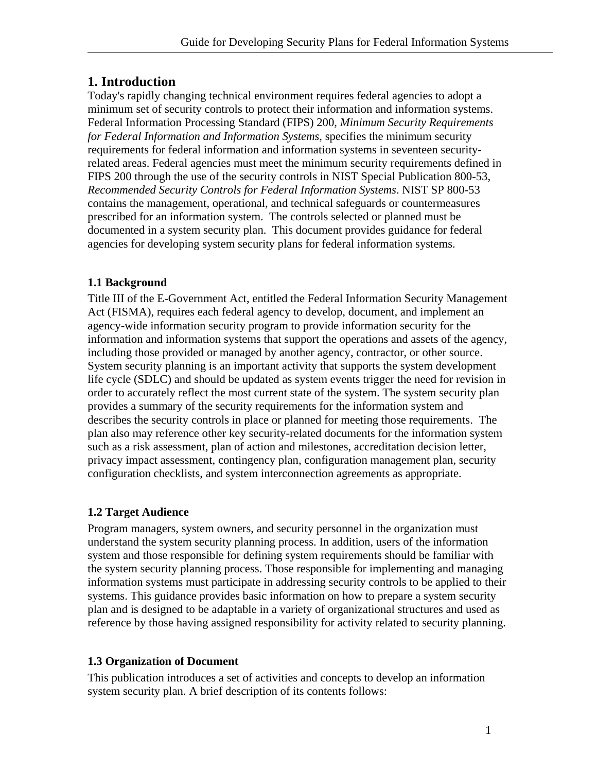# <span id="page-7-0"></span>**1. Introduction**

Today's rapidly changing technical environment requires federal agencies to adopt a minimum set of security controls to protect their information and information systems. Federal Information Processing Standard (FIPS) 200, *Minimum Security Requirements for Federal Information and Information Systems*, specifies the minimum security requirements for federal information and information systems in seventeen securityrelated areas. Federal agencies must meet the minimum security requirements defined in FIPS 200 through the use of the security controls in NIST Special Publication 800-53, *Recommended Security Controls for Federal Information Systems*. NIST SP 800-53 contains the management, operational, and technical safeguards or countermeasures prescribed for an information system. The controls selected or planned must be documented in a system security plan. This document provides guidance for federal agencies for developing system security plans for federal information systems.

#### **1.1 Background**

Title III of the E-Government Act, entitled the Federal Information Security Management Act (FISMA), requires each federal agency to develop, document, and implement an agency-wide information security program to provide information security for the information and information systems that support the operations and assets of the agency, including those provided or managed by another agency, contractor, or other source. System security planning is an important activity that supports the system development life cycle (SDLC) and should be updated as system events trigger the need for revision in order to accurately reflect the most current state of the system. The system security plan provides a summary of the security requirements for the information system and describes the security controls in place or planned for meeting those requirements. The plan also may reference other key security-related documents for the information system such as a risk assessment, plan of action and milestones, accreditation decision letter, privacy impact assessment, contingency plan, configuration management plan, security configuration checklists, and system interconnection agreements as appropriate.

#### **1.2 Target Audience**

Program managers, system owners, and security personnel in the organization must understand the system security planning process. In addition, users of the information system and those responsible for defining system requirements should be familiar with the system security planning process. Those responsible for implementing and managing information systems must participate in addressing security controls to be applied to their systems. This guidance provides basic information on how to prepare a system security plan and is designed to be adaptable in a variety of organizational structures and used as reference by those having assigned responsibility for activity related to security planning.

#### **1.3 Organization of Document**

This publication introduces a set of activities and concepts to develop an information system security plan. A brief description of its contents follows: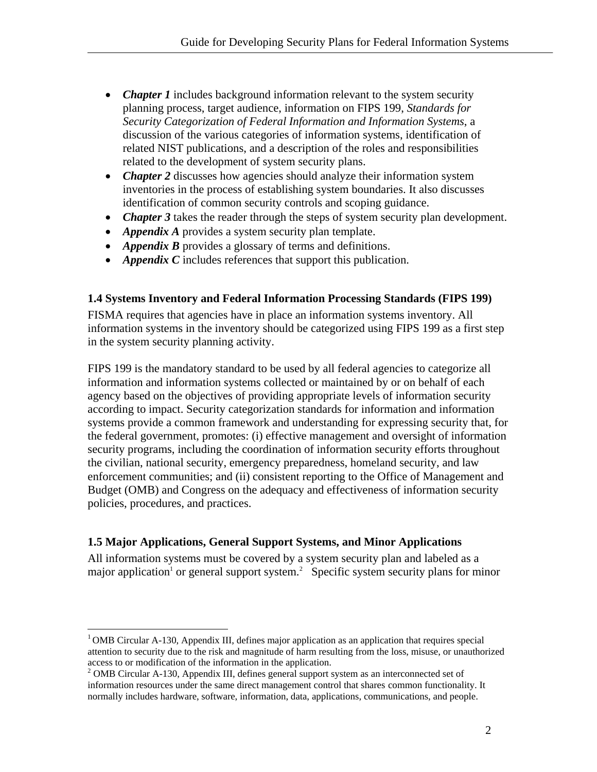- <span id="page-8-0"></span>• *Chapter 1* includes background information relevant to the system security planning process, target audience, information on FIPS 199, *Standards for Security Categorization of Federal Information and Information Systems*, a discussion of the various categories of information systems, identification of related NIST publications, and a description of the roles and responsibilities related to the development of system security plans.
- *Chapter 2* discusses how agencies should analyze their information system inventories in the process of establishing system boundaries. It also discusses identification of common security controls and scoping guidance.
- *Chapter 3* takes the reader through the steps of system security plan development.
- *Appendix A* provides a system security plan template.
- *Appendix B* provides a glossary of terms and definitions.
- *Appendix C* includes references that support this publication.

#### **1.4 Systems Inventory and Federal Information Processing Standards (FIPS 199)**

FISMA requires that agencies have in place an information systems inventory. All information systems in the inventory should be categorized using FIPS 199 as a first step in the system security planning activity.

FIPS 199 is the mandatory standard to be used by all federal agencies to categorize all information and information systems collected or maintained by or on behalf of each agency based on the objectives of providing appropriate levels of information security according to impact. Security categorization standards for information and information systems provide a common framework and understanding for expressing security that, for the federal government, promotes: (i) effective management and oversight of information security programs, including the coordination of information security efforts throughout the civilian, national security, emergency preparedness, homeland security, and law enforcement communities; and (ii) consistent reporting to the Office of Management and Budget (OMB) and Congress on the adequacy and effectiveness of information security policies, procedures, and practices.

#### **1.5 Major Applications, General Support Systems, and Minor Applications**

 $\overline{a}$ 

All information systems must be covered by a system security plan and labeled as a majorapplication<sup>1</sup> or general support system.<sup>2</sup> Specific system security plans for minor

<span id="page-8-1"></span><sup>&</sup>lt;sup>1</sup> OMB Circular A-130, Appendix III, defines major application as an application that requires special attention to security due to the risk and magnitude of harm resulting from the loss, misuse, or unauthorized access to or modification of the information in the application. 2

<span id="page-8-2"></span><sup>&</sup>lt;sup>2</sup> OMB Circular A-130, Appendix III, defines general support system as an interconnected set of information resources under the same direct management control that shares common functionality. It normally includes hardware, software, information, data, applications, communications, and people.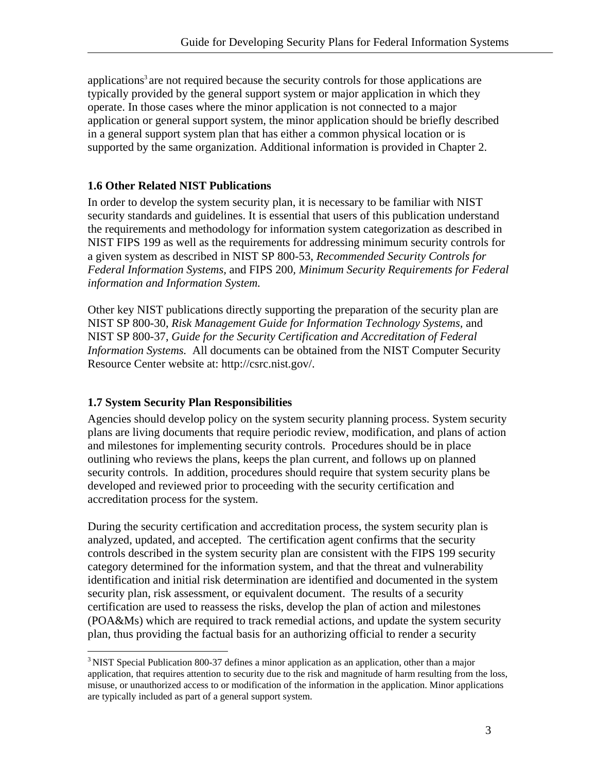<span id="page-9-0"></span>applications<sup>3</sup> are not required because the security controls for those applications are typically provided by the general support system or major application in which they operate. In those cases where the minor application is not connected to a major application or general support system, the minor application should be briefly described in a general support system plan that has either a common physical location or is supported by the same organization. Additional information is provided in Chapter 2.

#### **1.6 Other Related NIST Publications**

In order to develop the system security plan, it is necessary to be familiar with NIST security standards and guidelines. It is essential that users of this publication understand the requirements and methodology for information system categorization as described in NIST FIPS 199 as well as the requirements for addressing minimum security controls for a given system as described in NIST SP 800-53, *Recommended Security Controls for Federal Information Systems,* and FIPS 200*, Minimum Security Requirements for Federal information and Information System.*

Other key NIST publications directly supporting the preparation of the security plan are NIST SP 800-30, *Risk Management Guide for Information Technology Systems,* and NIST SP 800-37, *Guide for the Security Certification and Accreditation of Federal Information Systems.* All documents can be obtained from the NIST Computer Security Resource Center website at: http://csrc.nist.gov/.

#### **1.7 System Security Plan Responsibilities**

<u>.</u>

Agencies should develop policy on the system security planning process. System security plans are living documents that require periodic review, modification, and plans of action and milestones for implementing security controls. Procedures should be in place outlining who reviews the plans, keeps the plan current, and follows up on planned security controls. In addition, procedures should require that system security plans be developed and reviewed prior to proceeding with the security certification and accreditation process for the system.

During the security certification and accreditation process, the system security plan is analyzed, updated, and accepted. The certification agent confirms that the security controls described in the system security plan are consistent with the FIPS 199 security category determined for the information system, and that the threat and vulnerability identification and initial risk determination are identified and documented in the system security plan, risk assessment, or equivalent document. The results of a security certification are used to reassess the risks, develop the plan of action and milestones (POA&Ms) which are required to track remedial actions, and update the system security plan, thus providing the factual basis for an authorizing official to render a security

<span id="page-9-1"></span><sup>&</sup>lt;sup>3</sup> NIST Special Publication 800-37 defines a minor application as an application, other than a major application, that requires attention to security due to the risk and magnitude of harm resulting from the loss, misuse, or unauthorized access to or modification of the information in the application. Minor applications are typically included as part of a general support system.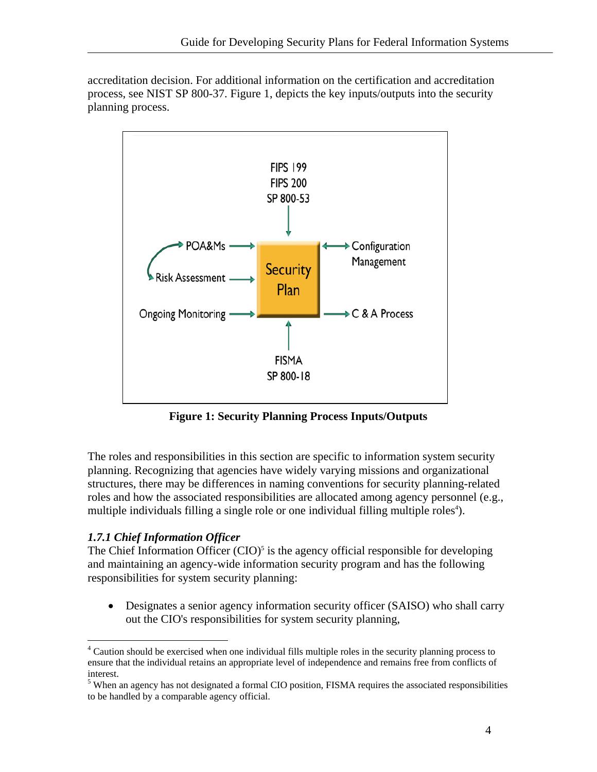<span id="page-10-0"></span>accreditation decision. For additional information on the certification and accreditation process, see NIST SP 800-37. Figure 1, depicts the key inputs/outputs into the security planning process.



**Figure 1: Security Planning Process Inputs/Outputs** 

The roles and responsibilities in this section are specific to information system security planning. Recognizing that agencies have widely varying missions and organizational structures, there may be differences in naming conventions for security planning-related roles and how the associated responsibilities are allocated among agency personnel (e.g., multiple individuals filling a single role or one individual filling multiple roles<sup>4</sup>).

#### *1.7.1 Chief Information Officer*

1

The Chief Information Officer  $(CIO)^5$  $(CIO)^5$  is the agency official responsible for developing and maintaining an agency-wide information security program and has the following responsibilities for system security planning:

• Designates a senior agency information security officer (SAISO) who shall carry out the CIO's responsibilities for system security planning,

<span id="page-10-1"></span><sup>&</sup>lt;sup>4</sup> Caution should be exercised when one individual fills multiple roles in the security planning process to ensure that the individual retains an appropriate level of independence and remains free from conflicts of interest.<br><sup>5</sup> When an agency has not designated a formal CIO position, FISMA requires the associated responsibilities

<span id="page-10-2"></span>to be handled by a comparable agency official.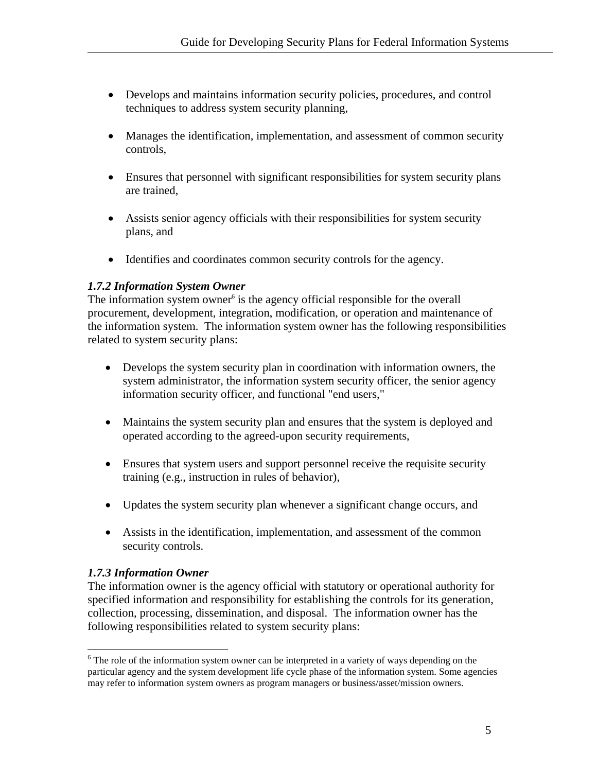- <span id="page-11-0"></span>• Develops and maintains information security policies, procedures, and control techniques to address system security planning,
- Manages the identification, implementation, and assessment of common security controls,
- Ensures that personnel with significant responsibilities for system security plans are trained,
- Assists senior agency officials with their responsibilities for system security plans, and
- Identifies and coordinates common security controls for the agency.

#### *1.7.2 Information System Owner*

The [i](#page-11-1)nformation system owner<sup>6</sup> is the agency official responsible for the overall procurement, development, integration, modification, or operation and maintenance of the information system. The information system owner has the following responsibilities related to system security plans:

- Develops the system security plan in coordination with information owners, the system administrator, the information system security officer, the senior agency information security officer, and functional "end users,"
- Maintains the system security plan and ensures that the system is deployed and operated according to the agreed-upon security requirements,
- Ensures that system users and support personnel receive the requisite security training (e.g., instruction in rules of behavior),
- Updates the system security plan whenever a significant change occurs, and
- Assists in the identification, implementation, and assessment of the common security controls.

#### *1.7.3 Information Owner*

 $\overline{a}$ 

The information owner is the agency official with statutory or operational authority for specified information and responsibility for establishing the controls for its generation, collection, processing, dissemination, and disposal. The information owner has the following responsibilities related to system security plans:

<span id="page-11-1"></span> $6$  The role of the information system owner can be interpreted in a variety of ways depending on the particular agency and the system development life cycle phase of the information system. Some agencies may refer to information system owners as program managers or business/asset/mission owners.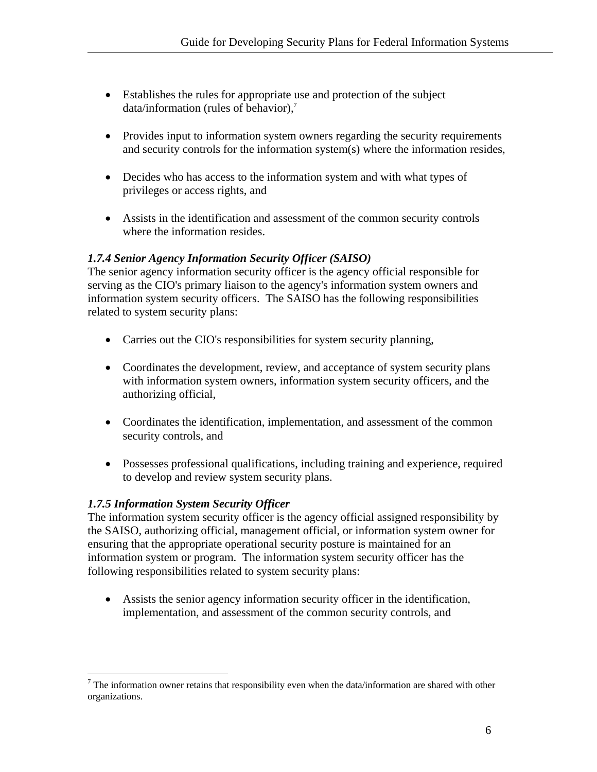- <span id="page-12-0"></span>• Establishes the rules for appropriate use and protection of the subject data/information (rules of behavior), $^7$  $^7$
- Provides input to information system owners regarding the security requirements and security controls for the information system(s) where the information resides,
- Decides who has access to the information system and with what types of privileges or access rights, and
- Assists in the identification and assessment of the common security controls where the information resides.

#### *1.7.4 Senior Agency Information Security Officer (SAISO)*

The senior agency information security officer is the agency official responsible for serving as the CIO's primary liaison to the agency's information system owners and information system security officers. The SAISO has the following responsibilities related to system security plans:

- Carries out the CIO's responsibilities for system security planning,
- Coordinates the development, review, and acceptance of system security plans with information system owners, information system security officers, and the authorizing official,
- Coordinates the identification, implementation, and assessment of the common security controls, and
- Possesses professional qualifications, including training and experience, required to develop and review system security plans.

#### *1.7.5 Information System Security Officer*

The information system security officer is the agency official assigned responsibility by the SAISO, authorizing official, management official, or information system owner for ensuring that the appropriate operational security posture is maintained for an information system or program. The information system security officer has the following responsibilities related to system security plans:

• Assists the senior agency information security officer in the identification, implementation, and assessment of the common security controls, and

<span id="page-12-1"></span><sup>&</sup>lt;sup>7</sup> The information owner retains that responsibility even when the data/information are shared with other organizations.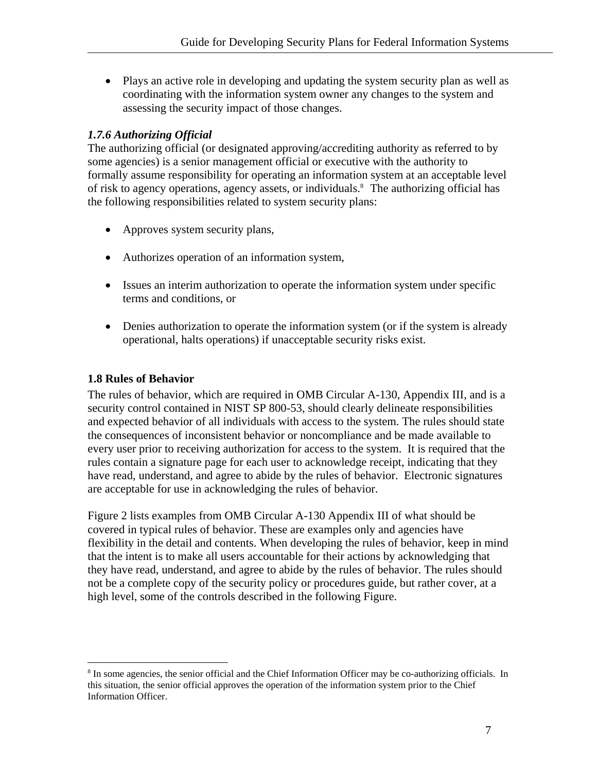<span id="page-13-0"></span>• Plays an active role in developing and updating the system security plan as well as coordinating with the information system owner any changes to the system and assessing the security impact of those changes.

#### *1.7.6 Authorizing Official*

The authorizing official (or designated approving/accrediting authority as referred to by some agencies) is a senior management official or executive with the authority to formally assume responsibility for operating an information system at an acceptable level of risk to agency operations, agency assets, or individuals.<sup>8</sup> The authorizing official has the following responsibilities related to system security plans:

- Approves system security plans,
- Authorizes operation of an information system,
- Issues an interim authorization to operate the information system under specific terms and conditions, or
- Denies authorization to operate the information system (or if the system is already operational, halts operations) if unacceptable security risks exist.

#### **1.8 Rules of Behavior**

 $\overline{a}$ 

The rules of behavior, which are required in OMB Circular A-130, Appendix III, and is a security control contained in NIST SP 800-53, should clearly delineate responsibilities and expected behavior of all individuals with access to the system. The rules should state the consequences of inconsistent behavior or noncompliance and be made available to every user prior to receiving authorization for access to the system. It is required that the rules contain a signature page for each user to acknowledge receipt, indicating that they have read, understand, and agree to abide by the rules of behavior. Electronic signatures are acceptable for use in acknowledging the rules of behavior.

Figure 2 lists examples from OMB Circular A-130 Appendix III of what should be covered in typical rules of behavior. These are examples only and agencies have flexibility in the detail and contents. When developing the rules of behavior, keep in mind that the intent is to make all users accountable for their actions by acknowledging that they have read, understand, and agree to abide by the rules of behavior. The rules should not be a complete copy of the security policy or procedures guide, but rather cover, at a high level, some of the controls described in the following Figure.

<span id="page-13-1"></span><sup>&</sup>lt;sup>8</sup> In some agencies, the senior official and the Chief Information Officer may be co-authorizing officials. In this situation, the senior official approves the operation of the information system prior to the Chief Information Officer.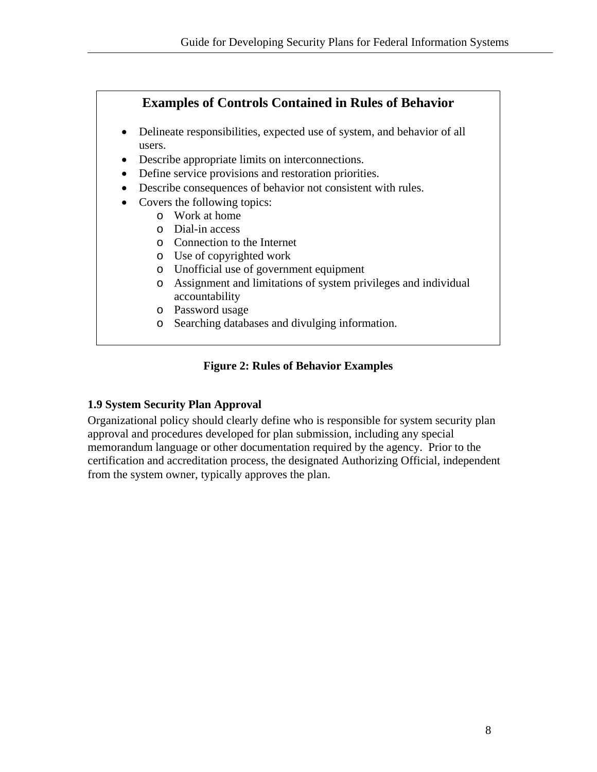# <span id="page-14-0"></span>**[Examples of Controls Contained in Rules of Behavior](#page-8-1)**

- Delineate responsibilities, expected use of system, and behavior of all users.
- Describe appropriate limits on interconnections.
- Define service provisions and restoration priorities.
- Describe consequences of behavior not consistent with rules.
- Covers the following topics:
	- o Work at home
	- o Dial-in access
	- o Connection to the Internet
	- o Use of copyrighted work
	- o Unofficial use of government equipment
	- o Assignment and limitations of system privileges and individual accountability
	- o Password usage
	- o Searching databases and divulging information.

#### **Figure 2: Rules of Behavior Examples**

#### **1.9 System Security Plan Approval**

Organizational policy should clearly define who is responsible for system security plan approval and procedures developed for plan submission, including any special memorandum language or other documentation required by the agency. Prior to the certification and accreditation process, the designated Authorizing Official, independent from the system owner, typically approves the plan.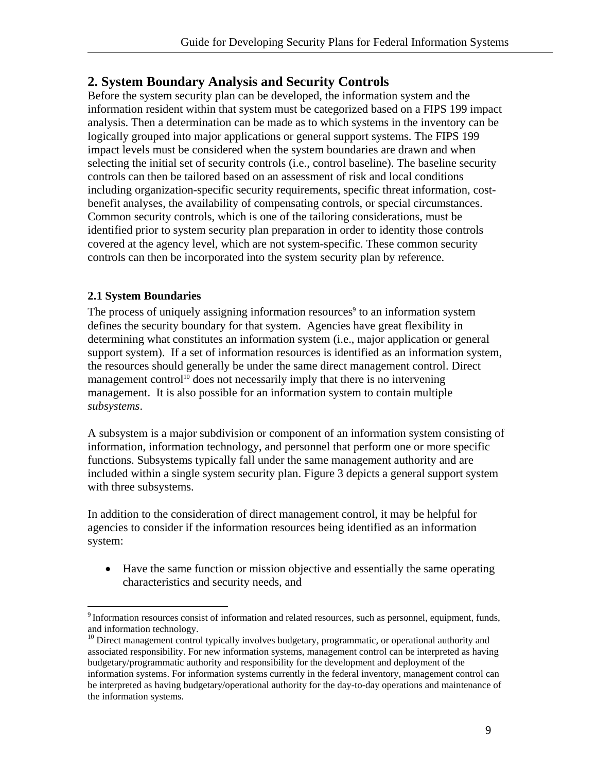# <span id="page-15-0"></span>**2. System Boundary Analysis and Security Controls**

Before the system security plan can be developed, the information system and the information resident within that system must be categorized based on a FIPS 199 impact analysis. Then a determination can be made as to which systems in the inventory can be logically grouped into major applications or general support systems. The FIPS 199 impact levels must be considered when the system boundaries are drawn and when selecting the initial set of security controls (i.e., control baseline). The baseline security controls can then be tailored based on an assessment of risk and local conditions including organization-specific security requirements, specific threat information, costbenefit analyses, the availability of compensating controls, or special circumstances. Common security controls, which is one of the tailoring considerations, must be identified prior to system security plan preparation in order to identity those controls covered at the agency level, which are not system-specific. These common security controls can then be incorporated into the system security plan by reference.

#### **2.1 System Boundaries**

 $\overline{a}$ 

The process of uniquely assigning information resources<sup>[9](#page-15-1)</sup> to an information system defines the security boundary for that system. Agencies have great flexibility in determining what constitutes an information system (i.e., major application or general support system). If a set of information resources is identified as an information system, the resources should generally be under the same direct management control. Direct management control<sup>10</sup> does not necessarily imply that there is no intervening management. It is also possible for an information system to contain multiple *subsystems*.

A subsystem is a major subdivision or component of an information system consisting of information, information technology, and personnel that perform one or more specific functions. Subsystems typically fall under the same management authority and are included within a single system security plan. Figure 3 depicts a general support system with three subsystems.

In addition to the consideration of direct management control, it may be helpful for agencies to consider if the information resources being identified as an information system:

• Have the same function or mission objective and essentially the same operating characteristics and security needs, and

<span id="page-15-1"></span><sup>&</sup>lt;sup>9</sup> Information resources consist of information and related resources, such as personnel, equipment, funds, and information technology.<br> $10$  Direct management control typically involves budgetary, programmatic, or operational authority and

<span id="page-15-2"></span>associated responsibility. For new information systems, management control can be interpreted as having budgetary/programmatic authority and responsibility for the development and deployment of the information systems. For information systems currently in the federal inventory, management control can be interpreted as having budgetary/operational authority for the day-to-day operations and maintenance of the information systems.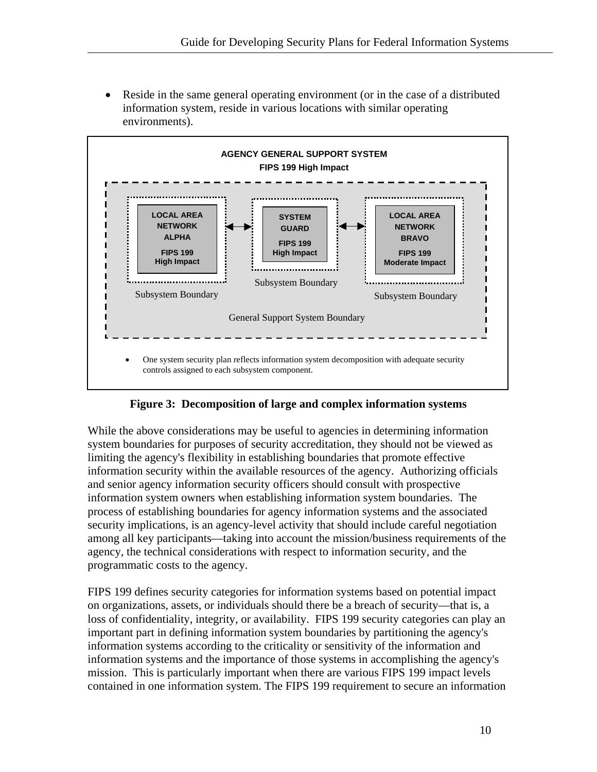• Reside in the same general operating environment (or in the case of a distributed information system, reside in various locations with similar operating environments).



#### **Figure 3: Decomposition of large and complex information systems**

While the above considerations may be useful to agencies in determining information system boundaries for purposes of security accreditation, they should not be viewed as limiting the agency's flexibility in establishing boundaries that promote effective information security within the available resources of the agency. Authorizing officials and senior agency information security officers should consult with prospective information system owners when establishing information system boundaries. The process of establishing boundaries for agency information systems and the associated security implications, is an agency-level activity that should include careful negotiation among all key participants—taking into account the mission/business requirements of the agency, the technical considerations with respect to information security, and the programmatic costs to the agency.

FIPS 199 defines security categories for information systems based on potential impact on organizations, assets, or individuals should there be a breach of security—that is, a loss of confidentiality, integrity, or availability. FIPS 199 security categories can play an important part in defining information system boundaries by partitioning the agency's information systems according to the criticality or sensitivity of the information and information systems and the importance of those systems in accomplishing the agency's mission. This is particularly important when there are various FIPS 199 impact levels contained in one information system. The FIPS 199 requirement to secure an information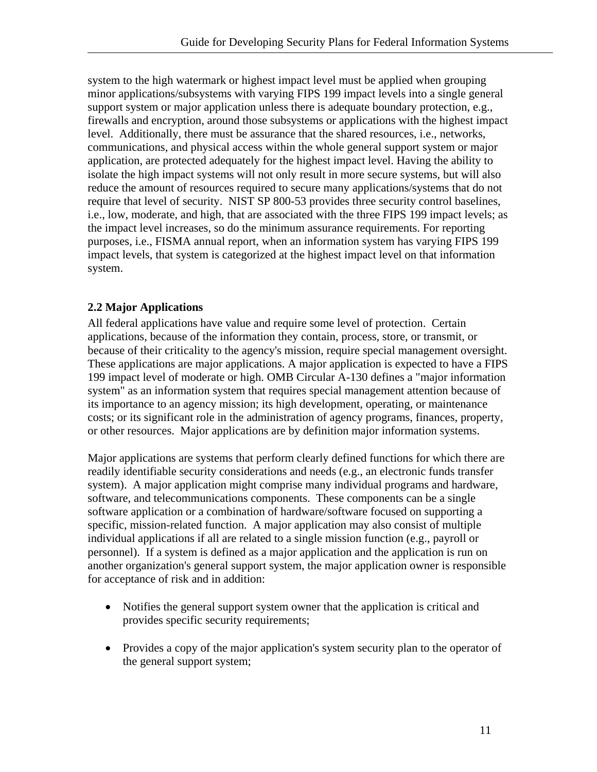<span id="page-17-0"></span>system to the high watermark or highest impact level must be applied when grouping minor applications/subsystems with varying FIPS 199 impact levels into a single general support system or major application unless there is adequate boundary protection, e.g., firewalls and encryption, around those subsystems or applications with the highest impact level. Additionally, there must be assurance that the shared resources, i.e., networks, communications, and physical access within the whole general support system or major application, are protected adequately for the highest impact level. Having the ability to isolate the high impact systems will not only result in more secure systems, but will also reduce the amount of resources required to secure many applications/systems that do not require that level of security. NIST SP 800-53 provides three security control baselines, i.e., low, moderate, and high, that are associated with the three FIPS 199 impact levels; as the impact level increases, so do the minimum assurance requirements. For reporting purposes, i.e., FISMA annual report, when an information system has varying FIPS 199 impact levels, that system is categorized at the highest impact level on that information system.

#### **2.2 Major Applications**

All federal applications have value and require some level of protection. Certain applications, because of the information they contain, process, store, or transmit, or because of their criticality to the agency's mission, require special management oversight. These applications are major applications. A major application is expected to have a FIPS 199 impact level of moderate or high. OMB Circular A-130 defines a "major information system" as an information system that requires special management attention because of its importance to an agency mission; its high development, operating, or maintenance costs; or its significant role in the administration of agency programs, finances, property, or other resources. Major applications are by definition major information systems.

Major applications are systems that perform clearly defined functions for which there are readily identifiable security considerations and needs (e.g., an electronic funds transfer system). A major application might comprise many individual programs and hardware, software, and telecommunications components. These components can be a single software application or a combination of hardware/software focused on supporting a specific, mission-related function. A major application may also consist of multiple individual applications if all are related to a single mission function (e.g., payroll or personnel). If a system is defined as a major application and the application is run on another organization's general support system, the major application owner is responsible for acceptance of risk and in addition:

- Notifies the general support system owner that the application is critical and provides specific security requirements;
- Provides a copy of the major application's system security plan to the operator of the general support system;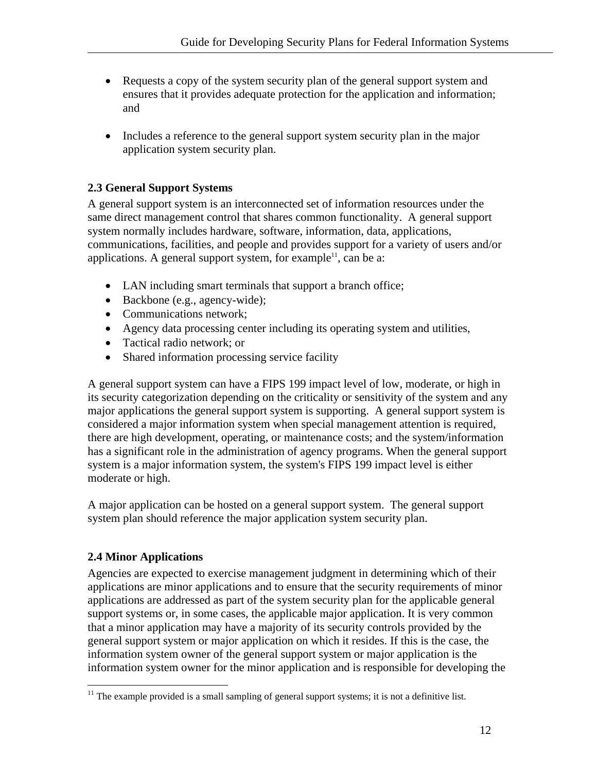- <span id="page-18-0"></span>• Requests a copy of the system security plan of the general support system and ensures that it provides adequate protection for the application and information; and
- Includes a reference to the general support system security plan in the major application system security plan.

### **2.3 General Support Systems**

A general support system is an interconnected set of information resources under the same direct management control that shares common functionality. A general support system normally includes hardware, software, information, data, applications, communications, facilities, and people and provides support for a variety of users and/or applications. A general support system, for example<sup>11</sup>, can be a:

- LAN including smart terminals that support a branch office;
- Backbone (e.g., agency-wide);
- Communications network;
- Agency data processing center including its operating system and utilities,
- Tactical radio network; or
- Shared information processing service facility

A general support system can have a FIPS 199 impact level of low, moderate, or high in its security categorization depending on the criticality or sensitivity of the system and any major applications the general support system is supporting. A general support system is considered a major information system when special management attention is required, there are high development, operating, or maintenance costs; and the system/information has a significant role in the administration of agency programs. When the general support system is a major information system, the system's FIPS 199 impact level is either moderate or high.

A major application can be hosted on a general support system. The general support system plan should reference the major application system security plan.

# **2.4 Minor Applications**

<u>.</u>

Agencies are expected to exercise management judgment in determining which of their applications are minor applications and to ensure that the security requirements of minor applications are addressed as part of the system security plan for the applicable general support systems or, in some cases, the applicable major application. It is very common that a minor application may have a majority of its security controls provided by the general support system or major application on which it resides. If this is the case, the information system owner of the general support system or major application is the information system owner for the minor application and is responsible for developing the

<span id="page-18-1"></span> $11$  The example provided is a small sampling of general support systems; it is not a definitive list.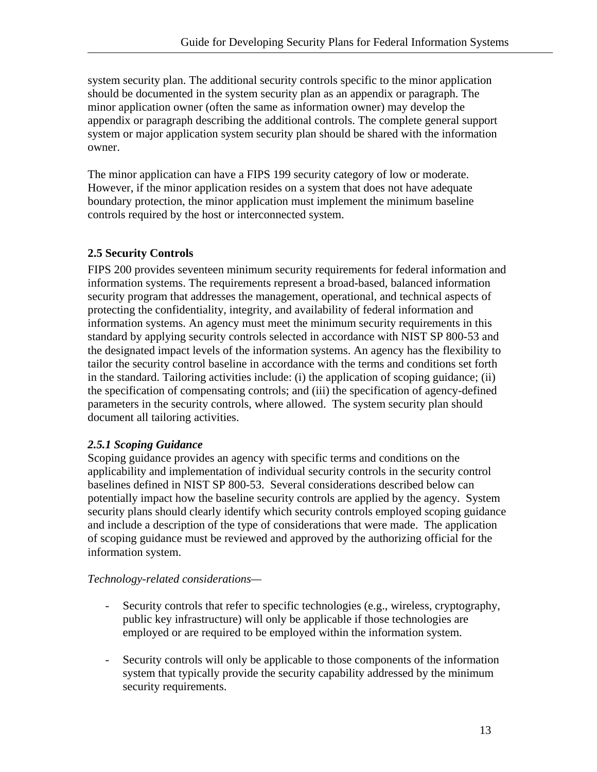<span id="page-19-0"></span>system security plan. The additional security controls specific to the minor application should be documented in the system security plan as an appendix or paragraph. The minor application owner (often the same as information owner) may develop the appendix or paragraph describing the additional controls. The complete general support system or major application system security plan should be shared with the information owner.

The minor application can have a FIPS 199 security category of low or moderate. However, if the minor application resides on a system that does not have adequate boundary protection, the minor application must implement the minimum baseline controls required by the host or interconnected system.

#### **2.5 Security Controls**

FIPS 200 provides seventeen minimum security requirements for federal information and information systems. The requirements represent a broad-based, balanced information security program that addresses the management, operational, and technical aspects of protecting the confidentiality, integrity, and availability of federal information and information systems. An agency must meet the minimum security requirements in this standard by applying security controls selected in accordance with NIST SP 800-53 and the designated impact levels of the information systems. An agency has the flexibility to tailor the security control baseline in accordance with the terms and conditions set forth in the standard. Tailoring activities include: (i) the application of scoping guidance; (ii) the specification of compensating controls; and (iii) the specification of agency-defined parameters in the security controls, where allowed. The system security plan should document all tailoring activities.

#### *2.5.1 Scoping Guidance*

Scoping guidance provides an agency with specific terms and conditions on the applicability and implementation of individual security controls in the security control baselines defined in NIST SP 800-53. Several considerations described below can potentially impact how the baseline security controls are applied by the agency. System security plans should clearly identify which security controls employed scoping guidance and include a description of the type of considerations that were made. The application of scoping guidance must be reviewed and approved by the authorizing official for the information system.

#### *Technology-related considerations—*

- Security controls that refer to specific technologies (e.g., wireless, cryptography, public key infrastructure) will only be applicable if those technologies are employed or are required to be employed within the information system.
- Security controls will only be applicable to those components of the information system that typically provide the security capability addressed by the minimum security requirements.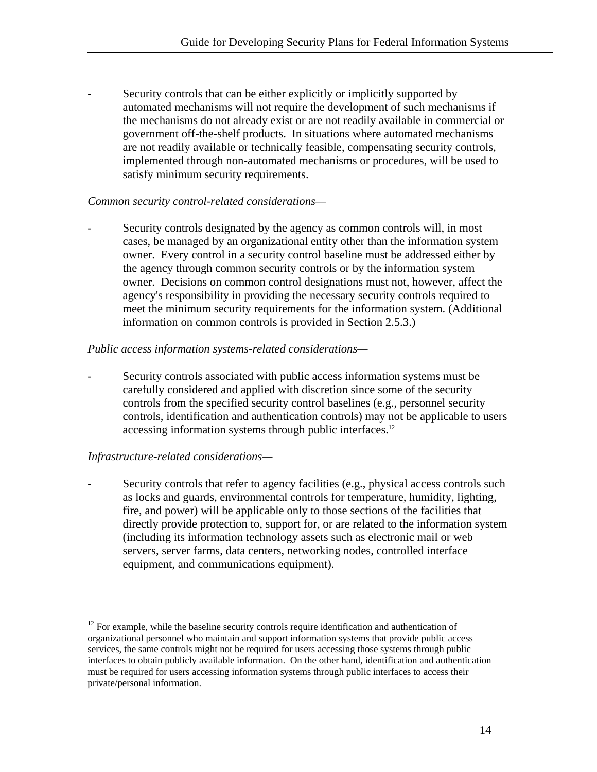Security controls that can be either explicitly or implicitly supported by automated mechanisms will not require the development of such mechanisms if the mechanisms do not already exist or are not readily available in commercial or government off-the-shelf products. In situations where automated mechanisms are not readily available or technically feasible, compensating security controls, implemented through non-automated mechanisms or procedures, will be used to satisfy minimum security requirements.

#### *Common security control-related considerations—*

Security controls designated by the agency as common controls will, in most cases, be managed by an organizational entity other than the information system owner. Every control in a security control baseline must be addressed either by the agency through common security controls or by the information system owner. Decisions on common control designations must not, however, affect the agency's responsibility in providing the necessary security controls required to meet the minimum security requirements for the information system. (Additional information on common controls is provided in Section 2.5.3.)

#### *Public access information systems-related considerations—*

Security controls associated with public access information systems must be carefully considered and applied with discretion since some of the security controls from the specified security control baselines (e.g., personnel security controls, identification and authentication controls) may not be applicable to users accessing information systems through public interfaces.<sup>12</sup>

#### *Infrastructure-related considerations—*

<u>.</u>

Security controls that refer to agency facilities (e.g., physical access controls such as locks and guards, environmental controls for temperature, humidity, lighting, fire, and power) will be applicable only to those sections of the facilities that directly provide protection to, support for, or are related to the information system (including its information technology assets such as electronic mail or web servers, server farms, data centers, networking nodes, controlled interface equipment, and communications equipment).

<span id="page-20-0"></span><sup>&</sup>lt;sup>12</sup> For example, while the baseline security controls require identification and authentication of organizational personnel who maintain and support information systems that provide public access services, the same controls might not be required for users accessing those systems through public interfaces to obtain publicly available information. On the other hand, identification and authentication must be required for users accessing information systems through public interfaces to access their private/personal information.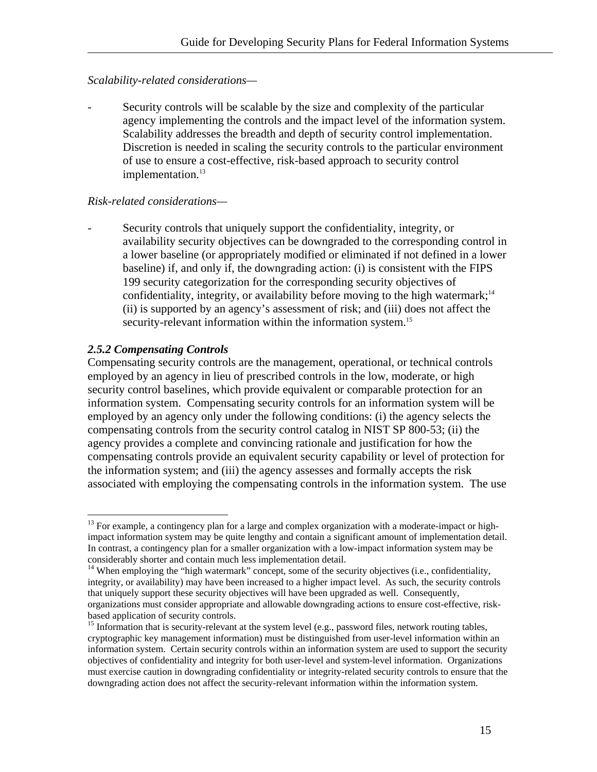#### <span id="page-21-0"></span>*Scalability-related considerations—*

Security controls will be scalable by the size and complexity of the particular agency implementing the controls and the impact level of the information system. Scalability addresses the breadth and depth of security control implementation. Discretion is needed in scaling the security controls to the particular environment of use to ensure a cost-effective, risk-based approach to security control implementation.<sup>13</sup>

#### *Risk-related considerations—*

Security controls that uniquely support the confidentiality, integrity, or availability security objectives can be downgraded to the corresponding control in a lower baseline (or appropriately modified or eliminated if not defined in a lower baseline) if, and only if, the downgrading action: (i) is consistent with the FIPS 199 security categorization for the corresponding security objectives of confidentiality, integrity, or availability before moving to the high watermark;<sup>14</sup> (ii) is supported by an agency's assessment of risk; and (iii) does not affect the security-relevant information within the information system.<sup>15</sup>

#### *2.5.2 Compensating Controls*

<u>.</u>

Compensating security controls are the management, operational, or technical controls employed by an agency in lieu of prescribed controls in the low, moderate, or high security control baselines, which provide equivalent or comparable protection for an information system. Compensating security controls for an information system will be employed by an agency only under the following conditions: (i) the agency selects the compensating controls from the security control catalog in NIST SP 800-53; (ii) the agency provides a complete and convincing rationale and justification for how the compensating controls provide an equivalent security capability or level of protection for the information system; and (iii) the agency assesses and formally accepts the risk associated with employing the compensating controls in the information system. The use

<span id="page-21-1"></span> $13$  For example, a contingency plan for a large and complex organization with a moderate-impact or highimpact information system may be quite lengthy and contain a significant amount of implementation detail. In contrast, a contingency plan for a smaller organization with a low-impact information system may be considerably shorter and contain much less implementation detail.

<span id="page-21-2"></span><sup>&</sup>lt;sup>14</sup> When employing the "high watermark" concept, some of the security objectives (i.e., confidentiality, integrity, or availability) may have been increased to a higher impact level. As such, the security controls that uniquely support these security objectives will have been upgraded as well. Consequently, organizations must consider appropriate and allowable downgrading actions to ensure cost-effective, riskbased application of security controls.<br><sup>15</sup> Information that is security-relevant at the system level (e.g., password files, network routing tables,

<span id="page-21-3"></span>cryptographic key management information) must be distinguished from user-level information within an information system. Certain security controls within an information system are used to support the security objectives of confidentiality and integrity for both user-level and system-level information. Organizations must exercise caution in downgrading confidentiality or integrity-related security controls to ensure that the downgrading action does not affect the security-relevant information within the information system.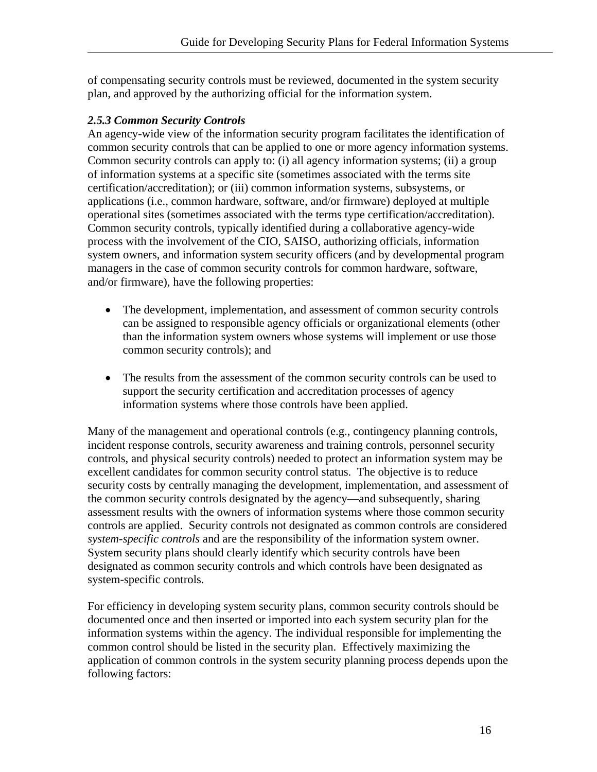<span id="page-22-0"></span>of compensating security controls must be reviewed, documented in the system security plan, and approved by the authorizing official for the information system.

#### *2.5.3 Common Security Controls*

An agency-wide view of the information security program facilitates the identification of common security controls that can be applied to one or more agency information systems. Common security controls can apply to: (i) all agency information systems; (ii) a group of information systems at a specific site (sometimes associated with the terms site certification/accreditation); or (iii) common information systems, subsystems, or applications (i.e., common hardware, software, and/or firmware) deployed at multiple operational sites (sometimes associated with the terms type certification/accreditation). Common security controls, typically identified during a collaborative agency-wide process with the involvement of the CIO, SAISO, authorizing officials, information system owners, and information system security officers (and by developmental program managers in the case of common security controls for common hardware, software, and/or firmware), have the following properties:

- The development, implementation, and assessment of common security controls can be assigned to responsible agency officials or organizational elements (other than the information system owners whose systems will implement or use those common security controls); and
- The results from the assessment of the common security controls can be used to support the security certification and accreditation processes of agency information systems where those controls have been applied.

Many of the management and operational controls (e.g., contingency planning controls, incident response controls, security awareness and training controls, personnel security controls, and physical security controls) needed to protect an information system may be excellent candidates for common security control status. The objective is to reduce security costs by centrally managing the development, implementation, and assessment of the common security controls designated by the agency—and subsequently, sharing assessment results with the owners of information systems where those common security controls are applied. Security controls not designated as common controls are considered *system-specific controls* and are the responsibility of the information system owner. System security plans should clearly identify which security controls have been designated as common security controls and which controls have been designated as system-specific controls.

For efficiency in developing system security plans, common security controls should be documented once and then inserted or imported into each system security plan for the information systems within the agency. The individual responsible for implementing the common control should be listed in the security plan. Effectively maximizing the application of common controls in the system security planning process depends upon the following factors: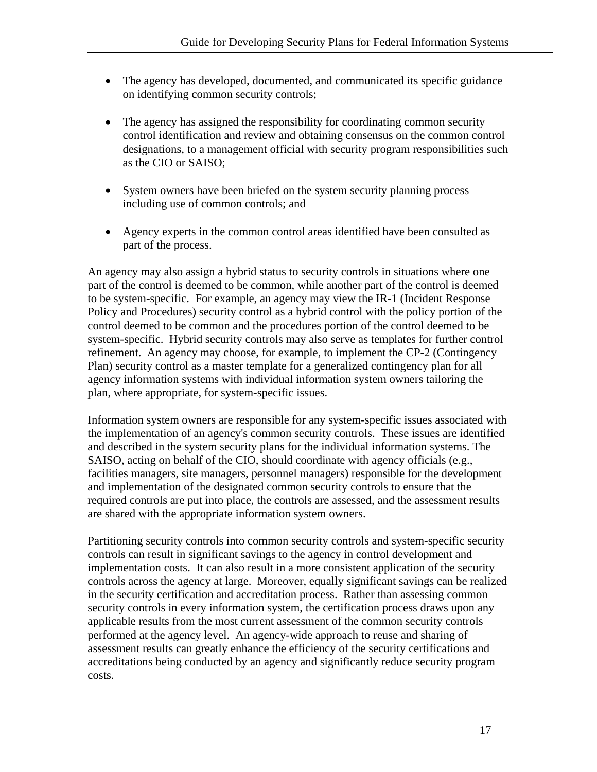- The agency has developed, documented, and communicated its specific guidance on identifying common security controls;
- The agency has assigned the responsibility for coordinating common security control identification and review and obtaining consensus on the common control designations, to a management official with security program responsibilities such as the CIO or SAISO;
- System owners have been briefed on the system security planning process including use of common controls; and
- Agency experts in the common control areas identified have been consulted as part of the process.

An agency may also assign a hybrid status to security controls in situations where one part of the control is deemed to be common, while another part of the control is deemed to be system-specific. For example, an agency may view the IR-1 (Incident Response Policy and Procedures) security control as a hybrid control with the policy portion of the control deemed to be common and the procedures portion of the control deemed to be system-specific. Hybrid security controls may also serve as templates for further control refinement. An agency may choose, for example, to implement the CP-2 (Contingency Plan) security control as a master template for a generalized contingency plan for all agency information systems with individual information system owners tailoring the plan, where appropriate, for system-specific issues.

Information system owners are responsible for any system-specific issues associated with the implementation of an agency's common security controls. These issues are identified and described in the system security plans for the individual information systems. The SAISO, acting on behalf of the CIO, should coordinate with agency officials (e.g., facilities managers, site managers, personnel managers) responsible for the development and implementation of the designated common security controls to ensure that the required controls are put into place, the controls are assessed, and the assessment results are shared with the appropriate information system owners.

Partitioning security controls into common security controls and system-specific security controls can result in significant savings to the agency in control development and implementation costs. It can also result in a more consistent application of the security controls across the agency at large. Moreover, equally significant savings can be realized in the security certification and accreditation process. Rather than assessing common security controls in every information system, the certification process draws upon any applicable results from the most current assessment of the common security controls performed at the agency level. An agency-wide approach to reuse and sharing of assessment results can greatly enhance the efficiency of the security certifications and accreditations being conducted by an agency and significantly reduce security program costs.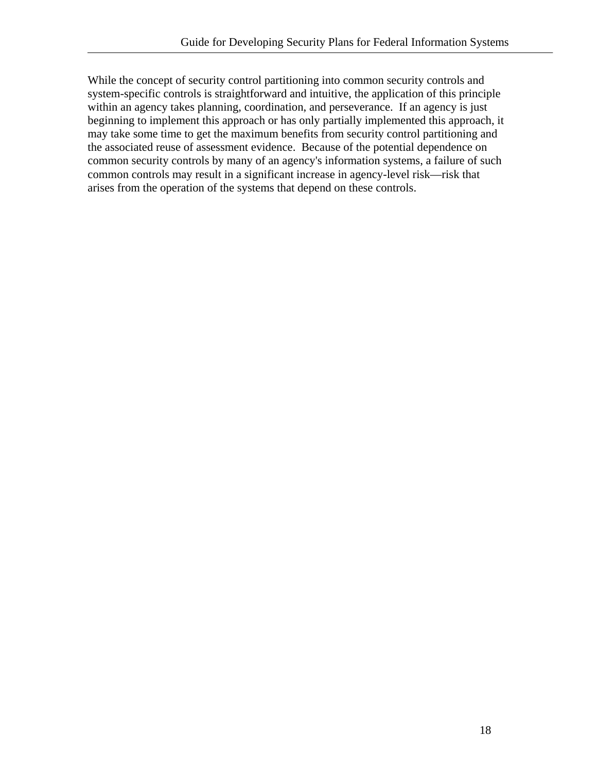While the concept of security control partitioning into common security controls and system-specific controls is straightforward and intuitive, the application of this principle within an agency takes planning, coordination, and perseverance. If an agency is just beginning to implement this approach or has only partially implemented this approach, it may take some time to get the maximum benefits from security control partitioning and the associated reuse of assessment evidence. Because of the potential dependence on common security controls by many of an agency's information systems, a failure of such common controls may result in a significant increase in agency-level risk—risk that arises from the operation of the systems that depend on these controls.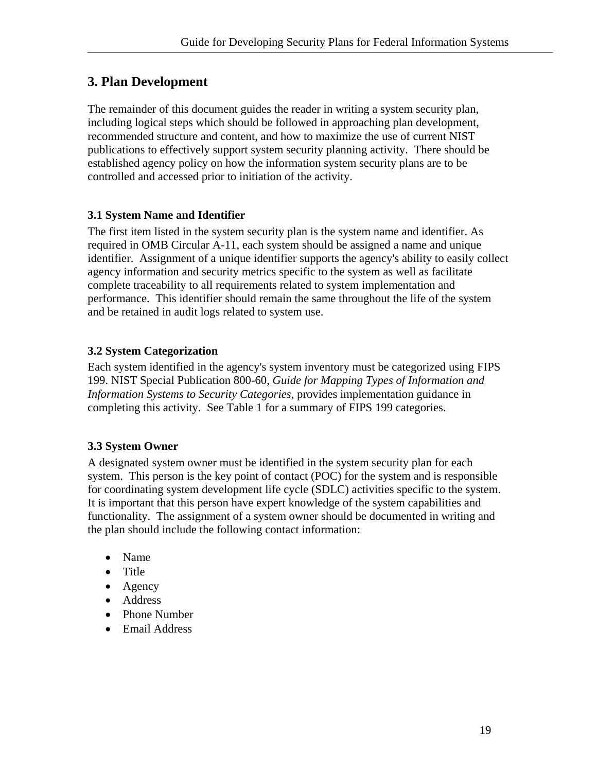# <span id="page-25-0"></span>**3. Plan Development**

The remainder of this document guides the reader in writing a system security plan, including logical steps which should be followed in approaching plan development, recommended structure and content, and how to maximize the use of current NIST publications to effectively support system security planning activity. There should be established agency policy on how the information system security plans are to be controlled and accessed prior to initiation of the activity.

#### **3.1 System Name and Identifier**

The first item listed in the system security plan is the system name and identifier. As required in OMB Circular A-11, each system should be assigned a name and unique identifier. Assignment of a unique identifier supports the agency's ability to easily collect agency information and security metrics specific to the system as well as facilitate complete traceability to all requirements related to system implementation and performance. This identifier should remain the same throughout the life of the system and be retained in audit logs related to system use.

#### **3.2 System Categorization**

Each system identified in the agency's system inventory must be categorized using FIPS 199. NIST Special Publication 800-60, *Guide for Mapping Types of Information and Information Systems to Security Categories,* provides implementation guidance in completing this activity. See Table 1 for a summary of FIPS 199 categories.

#### **3.3 System Owner**

A designated system owner must be identified in the system security plan for each system. This person is the key point of contact (POC) for the system and is responsible for coordinating system development life cycle (SDLC) activities specific to the system. It is important that this person have expert knowledge of the system capabilities and functionality. The assignment of a system owner should be documented in writing and the plan should include the following contact information:

- Name
- Title
- Agency
- Address
- Phone Number
- Email Address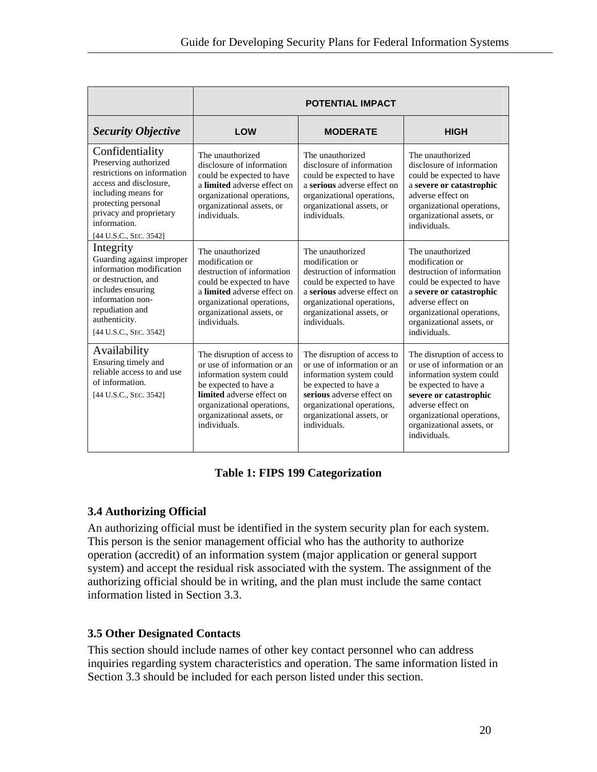<span id="page-26-0"></span>

|                                                                                                                                                                                                                                                                                                                                                                                                              |                                                                                                                                                                                      | <b>POTENTIAL IMPACT</b>                                                                                                                                                                                                 |                                                                                                                                                                                                                                           |
|--------------------------------------------------------------------------------------------------------------------------------------------------------------------------------------------------------------------------------------------------------------------------------------------------------------------------------------------------------------------------------------------------------------|--------------------------------------------------------------------------------------------------------------------------------------------------------------------------------------|-------------------------------------------------------------------------------------------------------------------------------------------------------------------------------------------------------------------------|-------------------------------------------------------------------------------------------------------------------------------------------------------------------------------------------------------------------------------------------|
| <b>Security Objective</b>                                                                                                                                                                                                                                                                                                                                                                                    | LOW                                                                                                                                                                                  | <b>MODERATE</b>                                                                                                                                                                                                         | <b>HIGH</b>                                                                                                                                                                                                                               |
| Confidentiality<br>Preserving authorized<br>restrictions on information<br>access and disclosure,<br>including means for<br>protecting personal<br>privacy and proprietary<br>information.<br>[44 U.S.C., SEC. 3542]                                                                                                                                                                                         | The unauthorized<br>disclosure of information<br>could be expected to have<br>a limited adverse effect on<br>organizational operations,<br>organizational assets, or<br>individuals. | The unauthorized<br>disclosure of information<br>could be expected to have<br>a serious adverse effect on<br>organizational operations,<br>organizational assets, or<br>individuals.                                    | The unauthorized<br>disclosure of information<br>could be expected to have<br>a severe or catastrophic<br>adverse effect on<br>organizational operations,<br>organizational assets, or<br>individuals.                                    |
| Integrity<br>The unauthorized<br>Guarding against improper<br>modification or<br>information modification<br>destruction of information<br>or destruction, and<br>could be expected to have<br>includes ensuring<br>a limited adverse effect on<br>information non-<br>organizational operations,<br>repudiation and<br>organizational assets, or<br>authenticity.<br>individuals.<br>[44 U.S.C., SEC. 3542] |                                                                                                                                                                                      | The unauthorized<br>modification or<br>destruction of information<br>could be expected to have<br>a serious adverse effect on<br>organizational operations,<br>organizational assets, or<br>individuals.                | The unauthorized<br>modification or<br>destruction of information<br>could be expected to have<br>a severe or catastrophic<br>adverse effect on<br>organizational operations,<br>organizational assets, or<br>individuals.                |
| Availability<br>The disruption of access to<br>Ensuring timely and<br>or use of information or an<br>reliable access to and use<br>information system could<br>of information.<br>be expected to have a<br>[44 U.S.C., SEC. 3542]<br>limited adverse effect on<br>organizational operations,<br>organizational assets, or<br>individuals.                                                                    |                                                                                                                                                                                      | The disruption of access to<br>or use of information or an<br>information system could<br>be expected to have a<br>serious adverse effect on<br>organizational operations,<br>organizational assets, or<br>individuals. | The disruption of access to<br>or use of information or an<br>information system could<br>be expected to have a<br>severe or catastrophic<br>adverse effect on<br>organizational operations,<br>organizational assets, or<br>individuals. |

#### **Table 1: FIPS 199 Categorization**

#### **3.4 Authorizing Official**

An authorizing official must be identified in the system security plan for each system. This person is the senior management official who has the authority to authorize operation (accredit) of an information system (major application or general support system) and accept the residual risk associated with the system. The assignment of the authorizing official should be in writing, and the plan must include the same contact information listed in Section 3.3.

#### **3.5 Other Designated Contacts**

This section should include names of other key contact personnel who can address inquiries regarding system characteristics and operation. The same information listed in Section 3.3 should be included for each person listed under this section.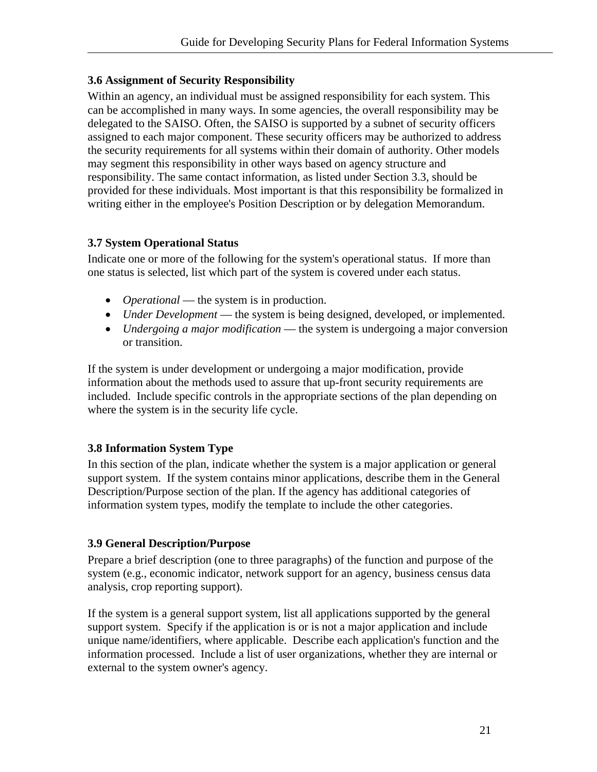#### <span id="page-27-0"></span>**3.6 Assignment of Security Responsibility**

Within an agency, an individual must be assigned responsibility for each system. This can be accomplished in many ways. In some agencies, the overall responsibility may be delegated to the SAISO. Often, the SAISO is supported by a subnet of security officers assigned to each major component. These security officers may be authorized to address the security requirements for all systems within their domain of authority. Other models may segment this responsibility in other ways based on agency structure and responsibility. The same contact information, as listed under Section 3.3, should be provided for these individuals. Most important is that this responsibility be formalized in writing either in the employee's Position Description or by delegation Memorandum.

#### **3.7 System Operational Status**

Indicate one or more of the following for the system's operational status. If more than one status is selected, list which part of the system is covered under each status.

- *Operational* the system is in production.
- *Under Development* the system is being designed, developed, or implemented.
- *Undergoing a major modification* the system is undergoing a major conversion or transition.

If the system is under development or undergoing a major modification, provide information about the methods used to assure that up-front security requirements are included. Include specific controls in the appropriate sections of the plan depending on where the system is in the security life cycle.

#### **3.8 Information System Type**

In this section of the plan, indicate whether the system is a major application or general support system. If the system contains minor applications, describe them in the General Description/Purpose section of the plan. If the agency has additional categories of information system types, modify the template to include the other categories.

#### **3.9 General Description/Purpose**

Prepare a brief description (one to three paragraphs) of the function and purpose of the system (e.g., economic indicator, network support for an agency, business census data analysis, crop reporting support).

If the system is a general support system, list all applications supported by the general support system. Specify if the application is or is not a major application and include unique name/identifiers, where applicable. Describe each application's function and the information processed. Include a list of user organizations, whether they are internal or external to the system owner's agency.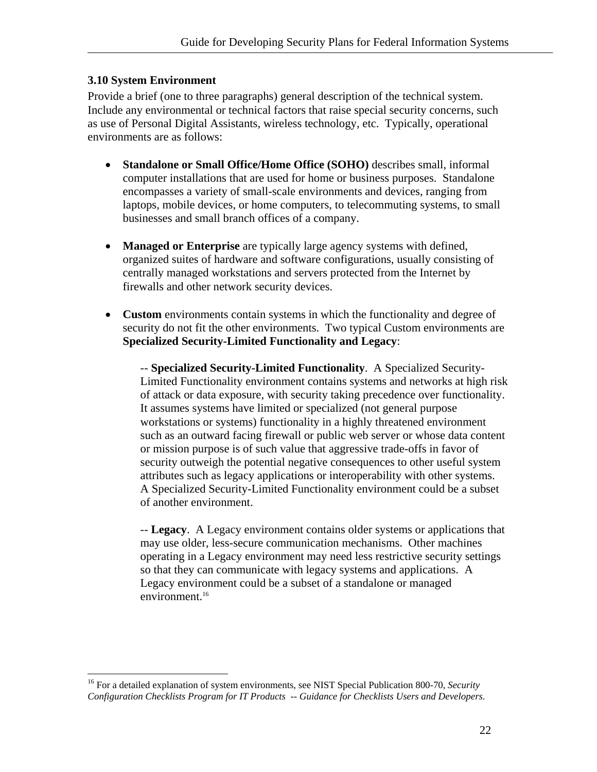#### <span id="page-28-0"></span>**3.10 System Environment**

Provide a brief (one to three paragraphs) general description of the technical system. Include any environmental or technical factors that raise special security concerns, such as use of Personal Digital Assistants, wireless technology, etc. Typically, operational environments are as follows:

- **Standalone or Small Office/Home Office (SOHO)** describes small, informal computer installations that are used for home or business purposes. Standalone encompasses a variety of small-scale environments and devices, ranging from laptops, mobile devices, or home computers, to telecommuting systems, to small businesses and small branch offices of a company.
- **Managed or Enterprise** are typically large agency systems with defined, organized suites of hardware and software configurations, usually consisting of centrally managed workstations and servers protected from the Internet by firewalls and other network security devices.
- **Custom** environments contain systems in which the functionality and degree of security do not fit the other environments. Two typical Custom environments are **Specialized Security-Limited Functionality and Legacy**:

-- **Specialized Security-Limited Functionality**. A Specialized Security-Limited Functionality environment contains systems and networks at high risk of attack or data exposure, with security taking precedence over functionality. It assumes systems have limited or specialized (not general purpose workstations or systems) functionality in a highly threatened environment such as an outward facing firewall or public web server or whose data content or mission purpose is of such value that aggressive trade-offs in favor of security outweigh the potential negative consequences to other useful system attributes such as legacy applications or interoperability with other systems. A Specialized Security-Limited Functionality environment could be a subset of another environment.

-- **Legacy**. A Legacy environment contains older systems or applications that may use older, less-secure communication mechanisms. Other machines operating in a Legacy environment may need less restrictive security settings so that they can communicate with legacy systems and applications. A Legacy environment could be a subset of a standalone or managed environment.<sup>16</sup>

<span id="page-28-1"></span><sup>1</sup> 16 For a detailed explanation of system environments, see NIST Special Publication 800-70, *Security Configuration Checklists Program for IT Products -- Guidance for Checklists Users and Developers*.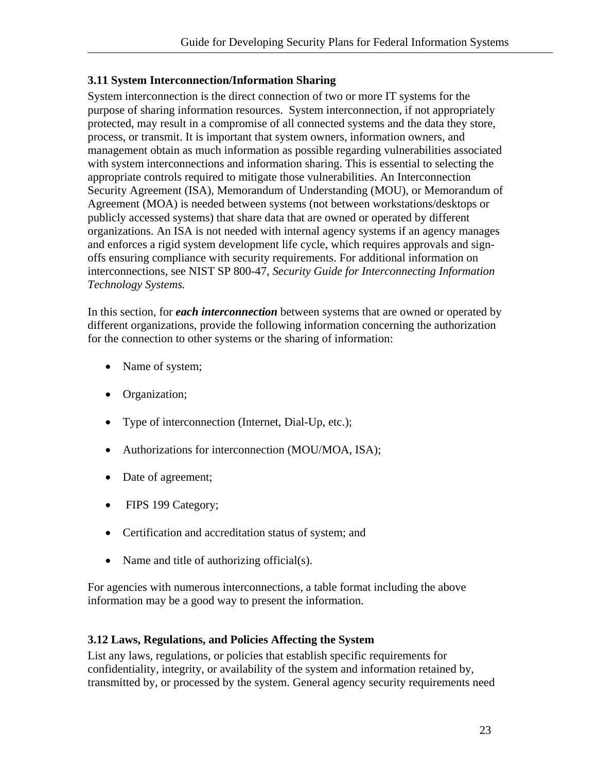#### <span id="page-29-0"></span>**3.11 System Interconnection/Information Sharing**

System interconnection is the direct connection of two or more IT systems for the purpose of sharing information resources. System interconnection, if not appropriately protected, may result in a compromise of all connected systems and the data they store, process, or transmit. It is important that system owners, information owners, and management obtain as much information as possible regarding vulnerabilities associated with system interconnections and information sharing. This is essential to selecting the appropriate controls required to mitigate those vulnerabilities. An Interconnection Security Agreement (ISA), Memorandum of Understanding (MOU), or Memorandum of Agreement (MOA) is needed between systems (not between workstations/desktops or publicly accessed systems) that share data that are owned or operated by different organizations. An ISA is not needed with internal agency systems if an agency manages and enforces a rigid system development life cycle, which requires approvals and signoffs ensuring compliance with security requirements. For additional information on interconnections, see NIST SP 800-47, *Security Guide for Interconnecting Information Technology Systems.* 

In this section, for *each interconnection* between systems that are owned or operated by different organizations, provide the following information concerning the authorization for the connection to other systems or the sharing of information:

- Name of system;
- Organization;
- Type of interconnection (Internet, Dial-Up, etc.);
- Authorizations for interconnection (MOU/MOA, ISA);
- Date of agreement;
- FIPS 199 Category;
- Certification and accreditation status of system; and
- Name and title of authorizing official(s).

For agencies with numerous interconnections, a table format including the above information may be a good way to present the information.

#### **3.12 Laws, Regulations, and Policies Affecting the System**

List any laws, regulations, or policies that establish specific requirements for confidentiality, integrity, or availability of the system and information retained by, transmitted by, or processed by the system. General agency security requirements need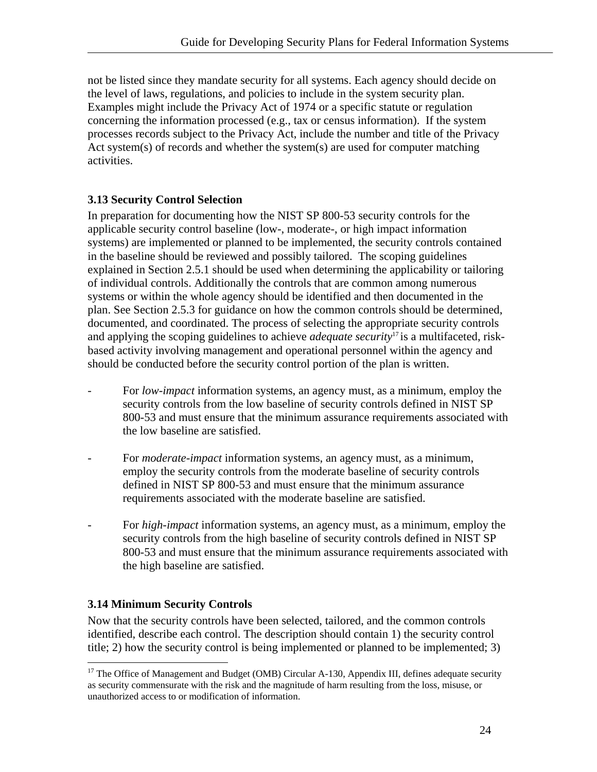<span id="page-30-0"></span>not be listed since they mandate security for all systems. Each agency should decide on the level of laws, regulations, and policies to include in the system security plan. Examples might include the Privacy Act of 1974 or a specific statute or regulation concerning the information processed (e.g., tax or census information). If the system processes records subject to the Privacy Act, include the number and title of the Privacy Act system(s) of records and whether the system(s) are used for computer matching activities.

#### **3.13 Security Control Selection**

In preparation for documenting how the NIST SP 800-53 security controls for the applicable security control baseline (low-, moderate-, or high impact information systems) are implemented or planned to be implemented, the security controls contained in the baseline should be reviewed and possibly tailored. The scoping guidelines explained in Section 2.5.1 should be used when determining the applicability or tailoring of individual controls. Additionally the controls that are common among numerous systems or within the whole agency should be identified and then documented in the plan. See Section 2.5.3 for guidance on how the common controls should be determined, documented, and coordinated. The process of selecting the appropriate security controls and applying the scoping guidelines to achieve *adequate security*[17 i](#page-30-1)s a multifaceted, riskbased activity involving management and operational personnel within the agency and should be conducted before the security control portion of the plan is written.

- For *low-impact* information systems, an agency must, as a minimum, employ the security controls from the low baseline of security controls defined in NIST SP 800-53 and must ensure that the minimum assurance requirements associated with the low baseline are satisfied.
- For *moderate-impact* information systems, an agency must, as a minimum, employ the security controls from the moderate baseline of security controls defined in NIST SP 800-53 and must ensure that the minimum assurance requirements associated with the moderate baseline are satisfied.
- For *high-impact* information systems, an agency must, as a minimum, employ the security controls from the high baseline of security controls defined in NIST SP 800-53 and must ensure that the minimum assurance requirements associated with the high baseline are satisfied.

#### **3.14 Minimum Security Controls**

1

Now that the security controls have been selected, tailored, and the common controls identified, describe each control. The description should contain 1) the security control title; 2) how the security control is being implemented or planned to be implemented; 3)

<span id="page-30-1"></span><sup>&</sup>lt;sup>17</sup> The Office of Management and Budget (OMB) Circular A-130, Appendix III, defines adequate security as security commensurate with the risk and the magnitude of harm resulting from the loss, misuse, or unauthorized access to or modification of information.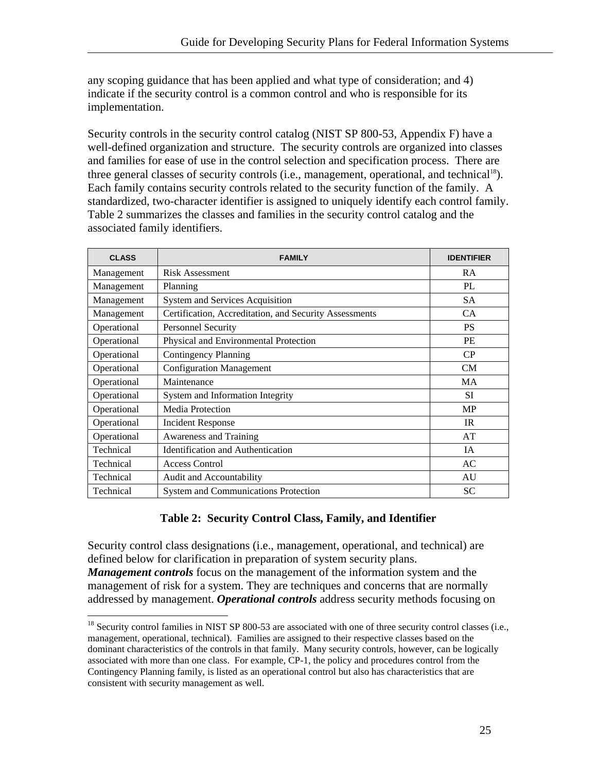any scoping guidance that has been applied and what type of consideration; and 4) indicate if the security control is a common control and who is responsible for its implementation.

Security controls in the security control catalog (NIST SP 800-53, Appendix F) have a well-defined organization and structure. The security controls are organized into classes and families for ease of use in the control selection and specification process. There are three general classes of security controls (i.e., management, operational, and technical<sup>18</sup>). Each family contains security controls related to the security function of the family. A standardized, two-character identifier is assigned to uniquely identify each control family. Table 2 summarizes the classes and families in the security control catalog and the associated family identifiers.

| <b>CLASS</b> | <b>FAMILY</b>                                          | <b>IDENTIFIER</b> |
|--------------|--------------------------------------------------------|-------------------|
| Management   | <b>Risk Assessment</b>                                 | <b>RA</b>         |
| Management   | Planning                                               | PL                |
| Management   | <b>System and Services Acquisition</b>                 | <b>SA</b>         |
| Management   | Certification, Accreditation, and Security Assessments | CA                |
| Operational  | Personnel Security                                     | <b>PS</b>         |
| Operational  | Physical and Environmental Protection                  | PE                |
| Operational  | <b>Contingency Planning</b>                            | CP                |
| Operational  | <b>Configuration Management</b>                        | CM                |
| Operational  | Maintenance                                            | <b>MA</b>         |
| Operational  | System and Information Integrity                       | <b>SI</b>         |
| Operational  | Media Protection                                       | <b>MP</b>         |
| Operational  | Incident Response                                      | <b>IR</b>         |
| Operational  | Awareness and Training                                 | AT                |
| Technical    | <b>Identification and Authentication</b>               | <b>IA</b>         |
| Technical    | <b>Access Control</b>                                  | AC                |
| Technical    | Audit and Accountability                               | AU                |
| Technical    | <b>System and Communications Protection</b>            | <b>SC</b>         |

#### **Table 2: Security Control Class, Family, and Identifier**

Security control class designations (i.e., management, operational, and technical) are defined below for clarification in preparation of system security plans. *Management controls* focus on the management of the information system and the management of risk for a system. They are techniques and concerns that are normally addressed by management. *Operational controls* address security methods focusing on

 $\overline{a}$ 

<span id="page-31-0"></span><sup>&</sup>lt;sup>18</sup> Security control families in NIST SP 800-53 are associated with one of three security control classes (i.e., management, operational, technical). Families are assigned to their respective classes based on the dominant characteristics of the controls in that family. Many security controls, however, can be logically associated with more than one class. For example, CP-1, the policy and procedures control from the Contingency Planning family, is listed as an operational control but also has characteristics that are consistent with security management as well.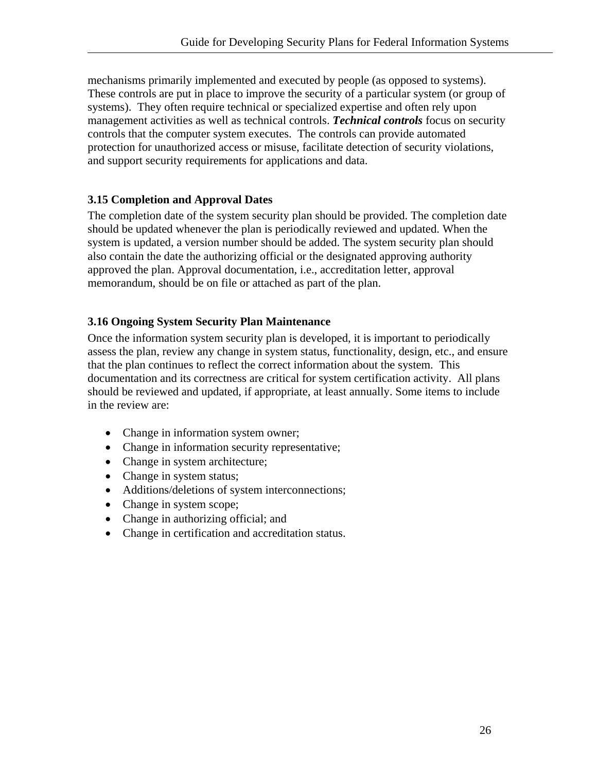<span id="page-32-0"></span>mechanisms primarily implemented and executed by people (as opposed to systems). These controls are put in place to improve the security of a particular system (or group of systems). They often require technical or specialized expertise and often rely upon management activities as well as technical controls. *Technical controls* focus on security controls that the computer system executes. The controls can provide automated protection for unauthorized access or misuse, facilitate detection of security violations, and support security requirements for applications and data.

#### **3.15 Completion and Approval Dates**

The completion date of the system security plan should be provided. The completion date should be updated whenever the plan is periodically reviewed and updated. When the system is updated, a version number should be added. The system security plan should also contain the date the authorizing official or the designated approving authority approved the plan. Approval documentation, i.e., accreditation letter, approval memorandum, should be on file or attached as part of the plan.

#### **3.16 Ongoing System Security Plan Maintenance**

Once the information system security plan is developed, it is important to periodically assess the plan, review any change in system status, functionality, design, etc., and ensure that the plan continues to reflect the correct information about the system. This documentation and its correctness are critical for system certification activity. All plans should be reviewed and updated, if appropriate, at least annually. Some items to include in the review are:

- Change in information system owner;
- Change in information security representative;
- Change in system architecture;
- Change in system status;
- Additions/deletions of system interconnections;
- Change in system scope;
- Change in authorizing official; and
- Change in certification and accreditation status.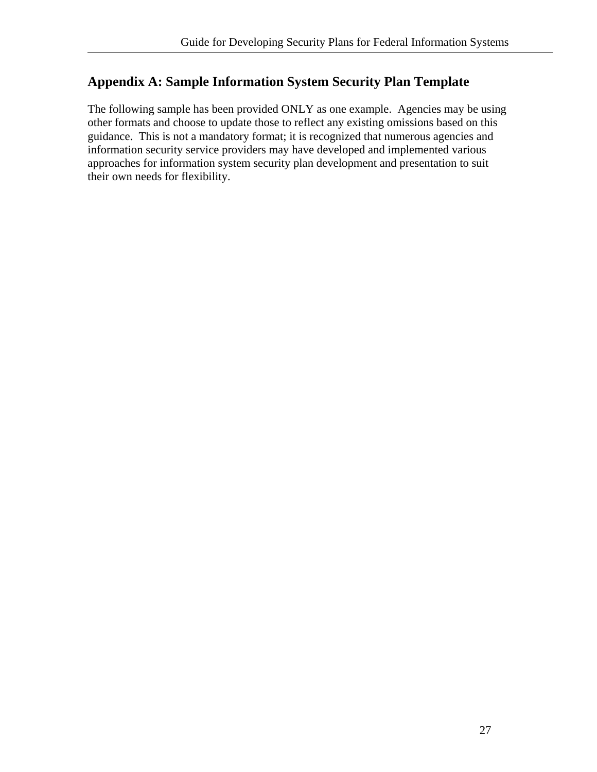# <span id="page-33-0"></span>**Appendix A: Sample Information System Security Plan Template**

The following sample has been provided ONLY as one example. Agencies may be using other formats and choose to update those to reflect any existing omissions based on this guidance. This is not a mandatory format; it is recognized that numerous agencies and information security service providers may have developed and implemented various approaches for information system security plan development and presentation to suit their own needs for flexibility.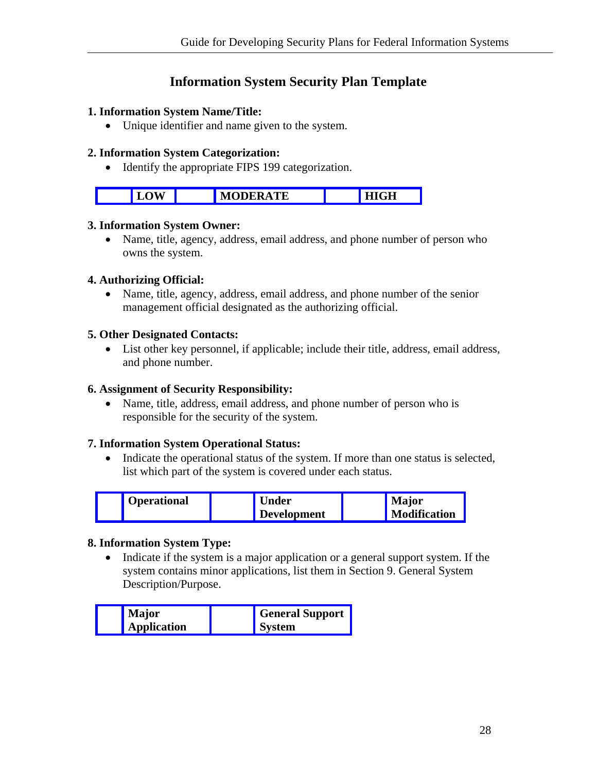# **Information System Security Plan Template**

#### **1. Information System Name/Title:**

• Unique identifier and name given to the system.

#### **2. Information System Categorization:**

• Identify the appropriate FIPS 199 categorization.

| в | CН<br>. .<br>. .<br>пили |
|---|--------------------------|

#### **3. Information System Owner:**

• Name, title, agency, address, email address, and phone number of person who owns the system.

#### **4. Authorizing Official:**

• Name, title, agency, address, email address, and phone number of the senior management official designated as the authorizing official.

#### **5. Other Designated Contacts:**

• List other key personnel, if applicable; include their title, address, email address, and phone number.

#### **6. Assignment of Security Responsibility:**

• Name, title, address, email address, and phone number of person who is responsible for the security of the system.

#### **7. Information System Operational Status:**

• Indicate the operational status of the system. If more than one status is selected, list which part of the system is covered under each status.

| <b>Operational</b> | <b>Under</b>       | <b>Major</b>        |
|--------------------|--------------------|---------------------|
|                    | <b>Development</b> | <b>Modification</b> |

#### **8. Information System Type:**

• Indicate if the system is a major application or a general support system. If the system contains minor applications, list them in Section 9. General System Description/Purpose.

| <b>Major</b>       | <b>General Support</b> |
|--------------------|------------------------|
| <b>Application</b> | <b>System</b>          |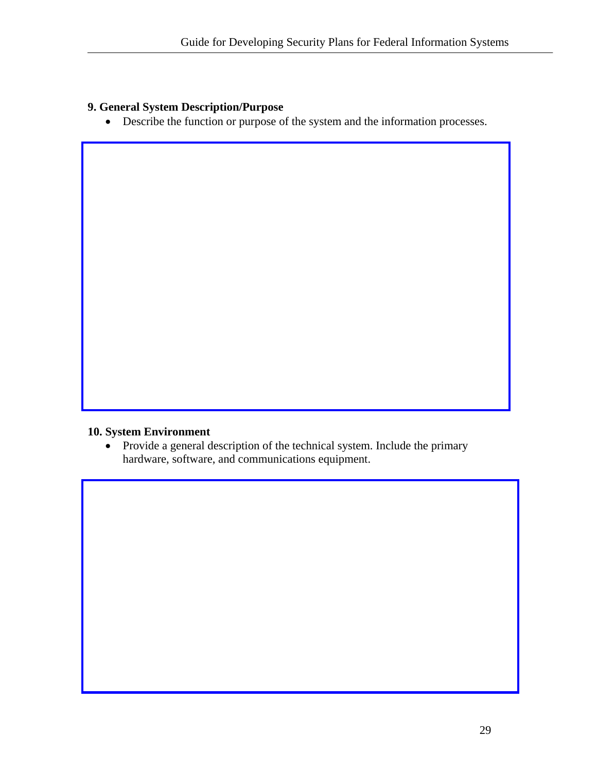#### **9. General System Description/Purpose**

• Describe the function or purpose of the system and the information processes.

## **10. System Environment**

• Provide a general description of the technical system. Include the primary hardware, software, and communications equipment.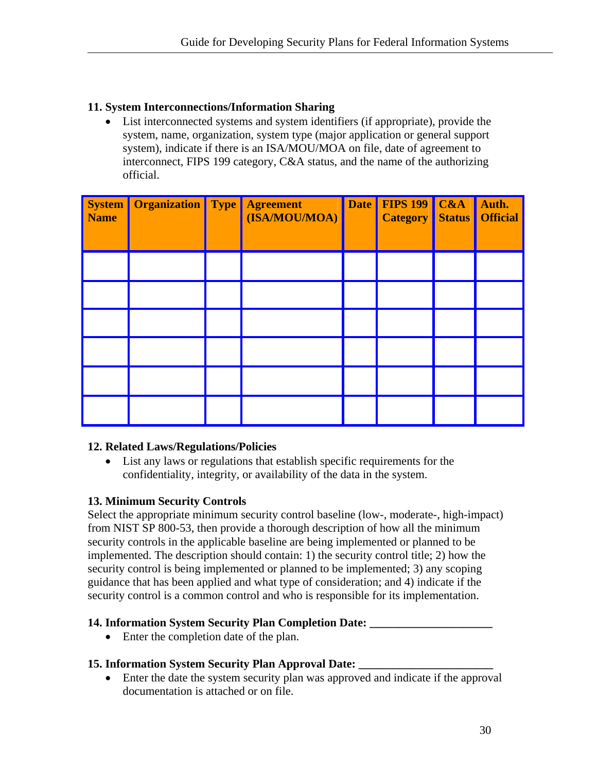#### **11. System Interconnections/Information Sharing**

List interconnected systems and system identifiers (if appropriate), provide the system, name, organization, system type (major application or general support system), indicate if there is an ISA/MOU/MOA on file, date of agreement to interconnect, FIPS 199 category, C&A status, and the name of the authorizing official.

| <b>Name</b> | <b>System Organization Type Agreement</b> | (ISA/MOU/MOA) | Date FIPS 199 C&A<br><b>Category Status</b> | Auth.<br><b>Official</b> |
|-------------|-------------------------------------------|---------------|---------------------------------------------|--------------------------|
|             |                                           |               |                                             |                          |
|             |                                           |               |                                             |                          |
|             |                                           |               |                                             |                          |
|             |                                           |               |                                             |                          |
|             |                                           |               |                                             |                          |
|             |                                           |               |                                             |                          |

#### **12. Related Laws/Regulations/Policies**

List any laws or regulations that establish specific requirements for the confidentiality, integrity, or availability of the data in the system.

#### **13. Minimum Security Controls**

Select the appropriate minimum security control baseline (low-, moderate-, high-impact) from NIST SP 800-53, then provide a thorough description of how all the minimum security controls in the applicable baseline are being implemented or planned to be implemented. The description should contain: 1) the security control title; 2) how the security control is being implemented or planned to be implemented; 3) any scoping guidance that has been applied and what type of consideration; and 4) indicate if the security control is a common control and who is responsible for its implementation.

#### **14. Information System Security Plan Completion Date: \_\_\_\_\_\_\_\_\_\_\_\_\_\_\_\_\_\_\_\_\_**

• Enter the completion date of the plan.

#### **15. Information System Security Plan Approval Date: \_\_\_\_\_\_\_\_\_\_\_\_\_\_\_\_\_\_\_\_\_\_\_**

• Enter the date the system security plan was approved and indicate if the approval documentation is attached or on file.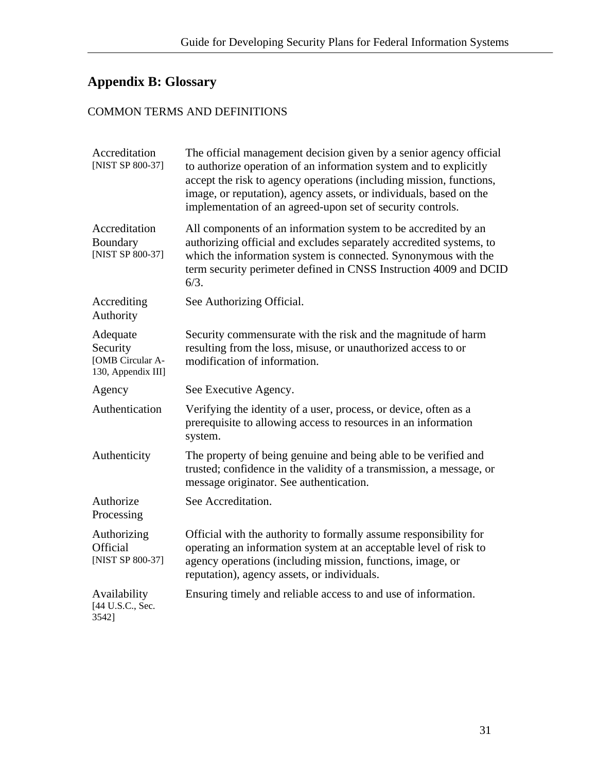# <span id="page-37-0"></span>**Appendix B: Glossary**

# COMMON TERMS AND DEFINITIONS

| Accreditation<br>[NIST SP 800-37]                              | The official management decision given by a senior agency official<br>to authorize operation of an information system and to explicitly<br>accept the risk to agency operations (including mission, functions,<br>image, or reputation), agency assets, or individuals, based on the<br>implementation of an agreed-upon set of security controls. |
|----------------------------------------------------------------|----------------------------------------------------------------------------------------------------------------------------------------------------------------------------------------------------------------------------------------------------------------------------------------------------------------------------------------------------|
| Accreditation<br>Boundary<br>[NIST SP 800-37]                  | All components of an information system to be accredited by an<br>authorizing official and excludes separately accredited systems, to<br>which the information system is connected. Synonymous with the<br>term security perimeter defined in CNSS Instruction 4009 and DCID<br>6/3.                                                               |
| Accrediting<br>Authority                                       | See Authorizing Official.                                                                                                                                                                                                                                                                                                                          |
| Adequate<br>Security<br>[OMB Circular A-<br>130, Appendix III] | Security commensurate with the risk and the magnitude of harm<br>resulting from the loss, misuse, or unauthorized access to or<br>modification of information.                                                                                                                                                                                     |
| Agency                                                         | See Executive Agency.                                                                                                                                                                                                                                                                                                                              |
| Authentication                                                 | Verifying the identity of a user, process, or device, often as a<br>prerequisite to allowing access to resources in an information<br>system.                                                                                                                                                                                                      |
| Authenticity                                                   | The property of being genuine and being able to be verified and<br>trusted; confidence in the validity of a transmission, a message, or<br>message originator. See authentication.                                                                                                                                                                 |
| Authorize<br>Processing                                        | See Accreditation.                                                                                                                                                                                                                                                                                                                                 |
| Authorizing<br>Official<br>[NIST SP 800-37]                    | Official with the authority to formally assume responsibility for<br>operating an information system at an acceptable level of risk to<br>agency operations (including mission, functions, image, or<br>reputation), agency assets, or individuals.                                                                                                |
| Availability<br>[44 U.S.C., Sec.<br>3542]                      | Ensuring timely and reliable access to and use of information.                                                                                                                                                                                                                                                                                     |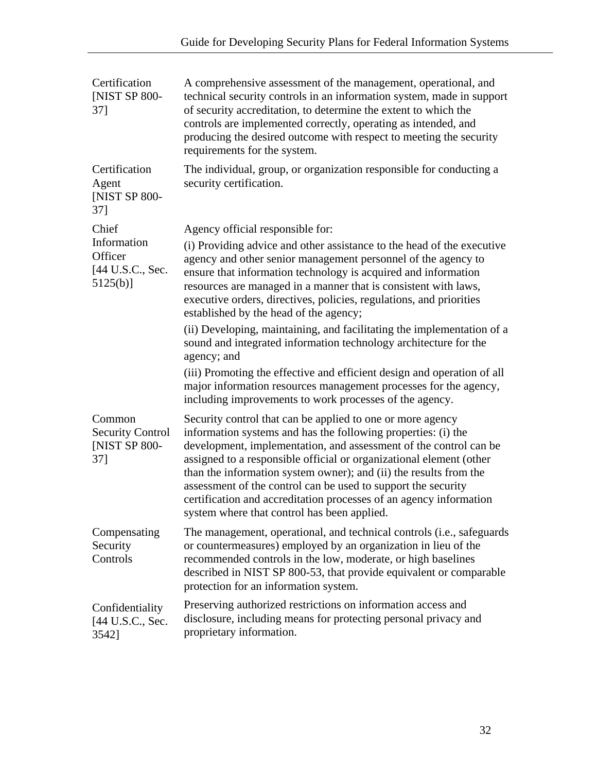| Certification<br>[NIST SP 800-<br>$37$ ]                     | A comprehensive assessment of the management, operational, and<br>technical security controls in an information system, made in support<br>of security accreditation, to determine the extent to which the<br>controls are implemented correctly, operating as intended, and<br>producing the desired outcome with respect to meeting the security<br>requirements for the system.                                                                                                                                                 |
|--------------------------------------------------------------|------------------------------------------------------------------------------------------------------------------------------------------------------------------------------------------------------------------------------------------------------------------------------------------------------------------------------------------------------------------------------------------------------------------------------------------------------------------------------------------------------------------------------------|
| Certification<br>Agent<br><b>INIST SP 800-</b><br>$37$ ]     | The individual, group, or organization responsible for conducting a<br>security certification.                                                                                                                                                                                                                                                                                                                                                                                                                                     |
| Chief                                                        | Agency official responsible for:                                                                                                                                                                                                                                                                                                                                                                                                                                                                                                   |
| Information<br>Officer<br>[44 U.S.C., Sec.<br>$5125(b)$ ]    | (i) Providing advice and other assistance to the head of the executive<br>agency and other senior management personnel of the agency to<br>ensure that information technology is acquired and information<br>resources are managed in a manner that is consistent with laws,<br>executive orders, directives, policies, regulations, and priorities<br>established by the head of the agency;                                                                                                                                      |
|                                                              | (ii) Developing, maintaining, and facilitating the implementation of a<br>sound and integrated information technology architecture for the<br>agency; and                                                                                                                                                                                                                                                                                                                                                                          |
|                                                              | (iii) Promoting the effective and efficient design and operation of all<br>major information resources management processes for the agency,<br>including improvements to work processes of the agency.                                                                                                                                                                                                                                                                                                                             |
| Common<br><b>Security Control</b><br>[NIST SP 800-<br>$37$ ] | Security control that can be applied to one or more agency<br>information systems and has the following properties: (i) the<br>development, implementation, and assessment of the control can be<br>assigned to a responsible official or organizational element (other<br>than the information system owner); and (ii) the results from the<br>assessment of the control can be used to support the security<br>certification and accreditation processes of an agency information<br>system where that control has been applied. |
| Compensating<br>Security<br>Controls                         | The management, operational, and technical controls (i.e., safeguards<br>or countermeasures) employed by an organization in lieu of the<br>recommended controls in the low, moderate, or high baselines<br>described in NIST SP 800-53, that provide equivalent or comparable<br>protection for an information system.                                                                                                                                                                                                             |
| Confidentiality<br>[44 U.S.C., Sec.<br>3542]                 | Preserving authorized restrictions on information access and<br>disclosure, including means for protecting personal privacy and<br>proprietary information.                                                                                                                                                                                                                                                                                                                                                                        |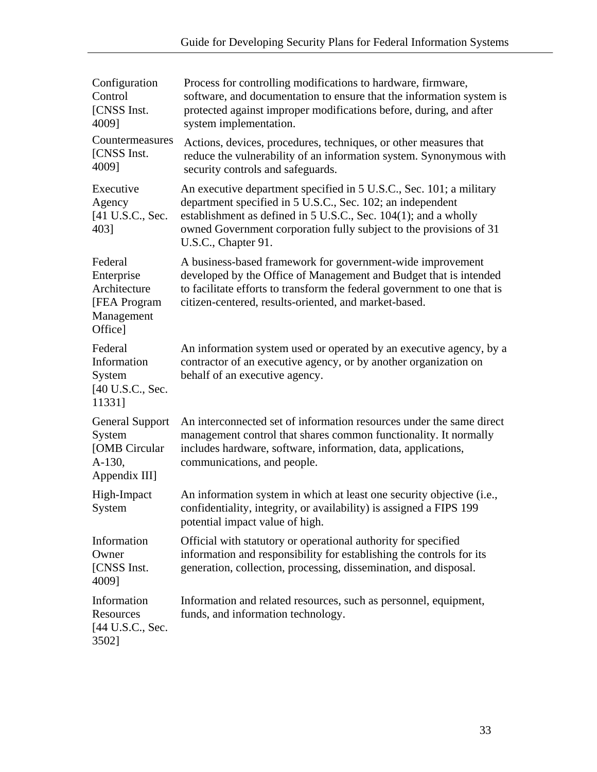| Configuration<br>Control<br>[CNSS Inst.<br>4009]                                | Process for controlling modifications to hardware, firmware,<br>software, and documentation to ensure that the information system is<br>protected against improper modifications before, during, and after<br>system implementation.                                                              |
|---------------------------------------------------------------------------------|---------------------------------------------------------------------------------------------------------------------------------------------------------------------------------------------------------------------------------------------------------------------------------------------------|
| Countermeasures<br>[CNSS Inst.<br>4009]                                         | Actions, devices, procedures, techniques, or other measures that<br>reduce the vulnerability of an information system. Synonymous with<br>security controls and safeguards.                                                                                                                       |
| Executive<br>Agency<br>[41 U.S.C., Sec.<br>403]                                 | An executive department specified in 5 U.S.C., Sec. 101; a military<br>department specified in 5 U.S.C., Sec. 102; an independent<br>establishment as defined in 5 U.S.C., Sec. 104(1); and a wholly<br>owned Government corporation fully subject to the provisions of 31<br>U.S.C., Chapter 91. |
| Federal<br>Enterprise<br>Architecture<br>[FEA Program]<br>Management<br>Office] | A business-based framework for government-wide improvement<br>developed by the Office of Management and Budget that is intended<br>to facilitate efforts to transform the federal government to one that is<br>citizen-centered, results-oriented, and market-based.                              |
| Federal<br>Information<br>System<br>[40 U.S.C., Sec.<br>11331]                  | An information system used or operated by an executive agency, by a<br>contractor of an executive agency, or by another organization on<br>behalf of an executive agency.                                                                                                                         |
| <b>General Support</b><br>System<br>[OMB Circular<br>A-130,<br>Appendix III]    | An interconnected set of information resources under the same direct<br>management control that shares common functionality. It normally<br>includes hardware, software, information, data, applications,<br>communications, and people.                                                          |
| High-Impact<br>System                                                           | An information system in which at least one security objective (i.e.,<br>confidentiality, integrity, or availability) is assigned a FIPS 199<br>potential impact value of high.                                                                                                                   |
| Information<br>Owner<br>[CNSS Inst.]<br>4009]                                   | Official with statutory or operational authority for specified<br>information and responsibility for establishing the controls for its<br>generation, collection, processing, dissemination, and disposal.                                                                                        |
| Information<br>Resources<br>[44 U.S.C., Sec.<br>3502]                           | Information and related resources, such as personnel, equipment,<br>funds, and information technology.                                                                                                                                                                                            |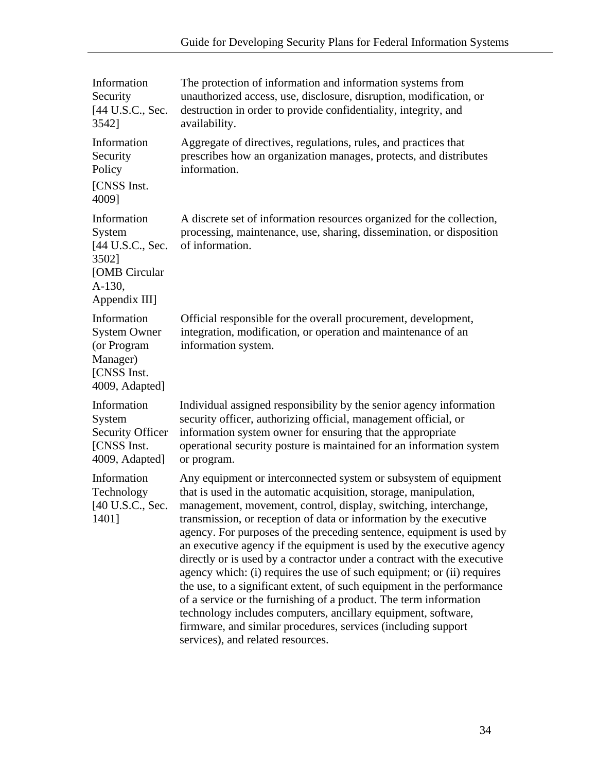| Information<br>Security<br>[44 U.S.C., Sec.<br>3542]                                           | The protection of information and information systems from<br>unauthorized access, use, disclosure, disruption, modification, or<br>destruction in order to provide confidentiality, integrity, and<br>availability.                                                                                                                                                                                                                                                                                                                                                                                                                                                                                                                                                                                                                                                                                      |
|------------------------------------------------------------------------------------------------|-----------------------------------------------------------------------------------------------------------------------------------------------------------------------------------------------------------------------------------------------------------------------------------------------------------------------------------------------------------------------------------------------------------------------------------------------------------------------------------------------------------------------------------------------------------------------------------------------------------------------------------------------------------------------------------------------------------------------------------------------------------------------------------------------------------------------------------------------------------------------------------------------------------|
| Information<br>Security<br>Policy<br>[CNSS Inst.                                               | Aggregate of directives, regulations, rules, and practices that<br>prescribes how an organization manages, protects, and distributes<br>information.                                                                                                                                                                                                                                                                                                                                                                                                                                                                                                                                                                                                                                                                                                                                                      |
| 4009]                                                                                          |                                                                                                                                                                                                                                                                                                                                                                                                                                                                                                                                                                                                                                                                                                                                                                                                                                                                                                           |
| Information<br>System<br>[44 U.S.C., Sec.<br>3502]<br>[OMB Circular<br>A-130,<br>Appendix III] | A discrete set of information resources organized for the collection,<br>processing, maintenance, use, sharing, dissemination, or disposition<br>of information.                                                                                                                                                                                                                                                                                                                                                                                                                                                                                                                                                                                                                                                                                                                                          |
| Information<br><b>System Owner</b><br>(or Program<br>Manager)<br>[CNSS Inst.<br>4009, Adapted] | Official responsible for the overall procurement, development,<br>integration, modification, or operation and maintenance of an<br>information system.                                                                                                                                                                                                                                                                                                                                                                                                                                                                                                                                                                                                                                                                                                                                                    |
| Information<br>System<br><b>Security Officer</b><br>[CNSS Inst.<br>4009, Adapted]              | Individual assigned responsibility by the senior agency information<br>security officer, authorizing official, management official, or<br>information system owner for ensuring that the appropriate<br>operational security posture is maintained for an information system<br>or program.                                                                                                                                                                                                                                                                                                                                                                                                                                                                                                                                                                                                               |
| Information<br>Technology<br>[40 U.S.C., Sec.<br>1401]                                         | Any equipment or interconnected system or subsystem of equipment<br>that is used in the automatic acquisition, storage, manipulation,<br>management, movement, control, display, switching, interchange,<br>transmission, or reception of data or information by the executive<br>agency. For purposes of the preceding sentence, equipment is used by<br>an executive agency if the equipment is used by the executive agency<br>directly or is used by a contractor under a contract with the executive<br>agency which: (i) requires the use of such equipment; or (ii) requires<br>the use, to a significant extent, of such equipment in the performance<br>of a service or the furnishing of a product. The term information<br>technology includes computers, ancillary equipment, software,<br>firmware, and similar procedures, services (including support<br>services), and related resources. |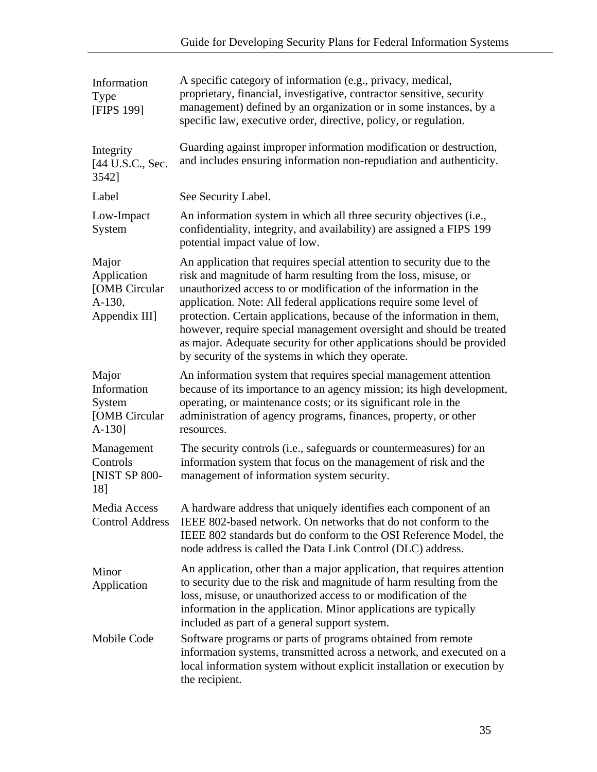| Information<br>Type<br>[FIPS 199]                                | A specific category of information (e.g., privacy, medical,<br>proprietary, financial, investigative, contractor sensitive, security<br>management) defined by an organization or in some instances, by a<br>specific law, executive order, directive, policy, or regulation.                                                                                                                                                                                                                                                                                  |
|------------------------------------------------------------------|----------------------------------------------------------------------------------------------------------------------------------------------------------------------------------------------------------------------------------------------------------------------------------------------------------------------------------------------------------------------------------------------------------------------------------------------------------------------------------------------------------------------------------------------------------------|
| Integrity<br>[44 U.S.C., Sec.<br>3542]                           | Guarding against improper information modification or destruction,<br>and includes ensuring information non-repudiation and authenticity.                                                                                                                                                                                                                                                                                                                                                                                                                      |
| Label                                                            | See Security Label.                                                                                                                                                                                                                                                                                                                                                                                                                                                                                                                                            |
| Low-Impact<br>System                                             | An information system in which all three security objectives (i.e.,<br>confidentiality, integrity, and availability) are assigned a FIPS 199<br>potential impact value of low.                                                                                                                                                                                                                                                                                                                                                                                 |
| Major<br>Application<br>[OMB Circular<br>A-130,<br>Appendix III] | An application that requires special attention to security due to the<br>risk and magnitude of harm resulting from the loss, misuse, or<br>unauthorized access to or modification of the information in the<br>application. Note: All federal applications require some level of<br>protection. Certain applications, because of the information in them,<br>however, require special management oversight and should be treated<br>as major. Adequate security for other applications should be provided<br>by security of the systems in which they operate. |
| Major<br>Information<br>System<br>[OMB Circular<br>$A-130$ ]     | An information system that requires special management attention<br>because of its importance to an agency mission; its high development,<br>operating, or maintenance costs; or its significant role in the<br>administration of agency programs, finances, property, or other<br>resources.                                                                                                                                                                                                                                                                  |
| Management<br>Controls<br><b>[NIST SP 800-</b><br>18]            | The security controls (i.e., safeguards or countermeasures) for an<br>information system that focus on the management of risk and the<br>management of information system security.                                                                                                                                                                                                                                                                                                                                                                            |
| Media Access<br><b>Control Address</b>                           | A hardware address that uniquely identifies each component of an<br>IEEE 802-based network. On networks that do not conform to the<br>IEEE 802 standards but do conform to the OSI Reference Model, the<br>node address is called the Data Link Control (DLC) address.                                                                                                                                                                                                                                                                                         |
| Minor<br>Application                                             | An application, other than a major application, that requires attention<br>to security due to the risk and magnitude of harm resulting from the<br>loss, misuse, or unauthorized access to or modification of the<br>information in the application. Minor applications are typically<br>included as part of a general support system.                                                                                                                                                                                                                         |
| Mobile Code                                                      | Software programs or parts of programs obtained from remote<br>information systems, transmitted across a network, and executed on a<br>local information system without explicit installation or execution by<br>the recipient.                                                                                                                                                                                                                                                                                                                                |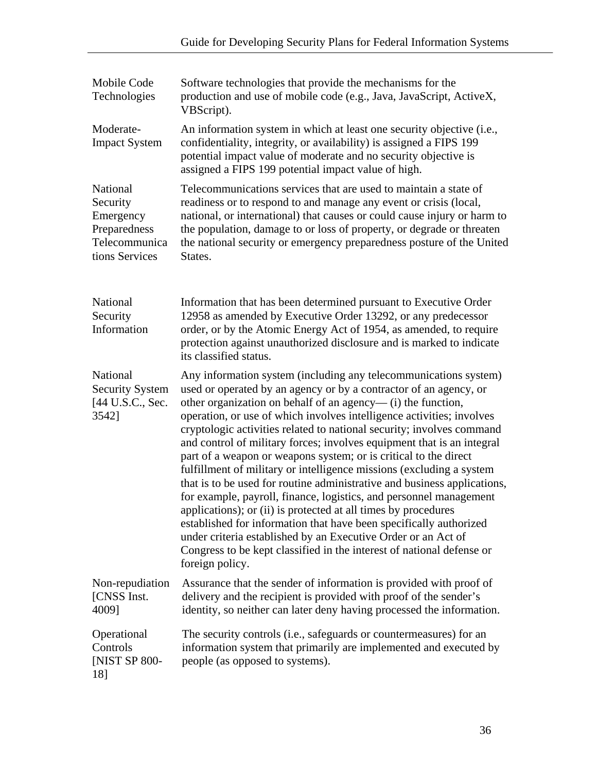| Mobile Code<br>Technologies                                                          | Software technologies that provide the mechanisms for the<br>production and use of mobile code (e.g., Java, JavaScript, ActiveX,<br>VBScript).                                                                                                                                                                                                                                                                                                                                                                                                                                                                                                                                                                                                                                                                                                                                                                                                                                                                                      |
|--------------------------------------------------------------------------------------|-------------------------------------------------------------------------------------------------------------------------------------------------------------------------------------------------------------------------------------------------------------------------------------------------------------------------------------------------------------------------------------------------------------------------------------------------------------------------------------------------------------------------------------------------------------------------------------------------------------------------------------------------------------------------------------------------------------------------------------------------------------------------------------------------------------------------------------------------------------------------------------------------------------------------------------------------------------------------------------------------------------------------------------|
| Moderate-<br><b>Impact System</b>                                                    | An information system in which at least one security objective (i.e.,<br>confidentiality, integrity, or availability) is assigned a FIPS 199<br>potential impact value of moderate and no security objective is<br>assigned a FIPS 199 potential impact value of high.                                                                                                                                                                                                                                                                                                                                                                                                                                                                                                                                                                                                                                                                                                                                                              |
| National<br>Security<br>Emergency<br>Preparedness<br>Telecommunica<br>tions Services | Telecommunications services that are used to maintain a state of<br>readiness or to respond to and manage any event or crisis (local,<br>national, or international) that causes or could cause injury or harm to<br>the population, damage to or loss of property, or degrade or threaten<br>the national security or emergency preparedness posture of the United<br>States.                                                                                                                                                                                                                                                                                                                                                                                                                                                                                                                                                                                                                                                      |
| National<br>Security<br>Information                                                  | Information that has been determined pursuant to Executive Order<br>12958 as amended by Executive Order 13292, or any predecessor<br>order, or by the Atomic Energy Act of 1954, as amended, to require<br>protection against unauthorized disclosure and is marked to indicate<br>its classified status.                                                                                                                                                                                                                                                                                                                                                                                                                                                                                                                                                                                                                                                                                                                           |
| National<br><b>Security System</b><br>[44 U.S.C., Sec.<br>3542]                      | Any information system (including any telecommunications system)<br>used or operated by an agency or by a contractor of an agency, or<br>other organization on behalf of an agency—(i) the function,<br>operation, or use of which involves intelligence activities; involves<br>cryptologic activities related to national security; involves command<br>and control of military forces; involves equipment that is an integral<br>part of a weapon or weapons system; or is critical to the direct<br>fulfillment of military or intelligence missions (excluding a system<br>that is to be used for routine administrative and business applications,<br>for example, payroll, finance, logistics, and personnel management<br>applications); or (ii) is protected at all times by procedures<br>established for information that have been specifically authorized<br>under criteria established by an Executive Order or an Act of<br>Congress to be kept classified in the interest of national defense or<br>foreign policy. |
| Non-repudiation<br>[CNSS Inst.<br>40091                                              | Assurance that the sender of information is provided with proof of<br>delivery and the recipient is provided with proof of the sender's<br>identity, so neither can later deny having processed the information.                                                                                                                                                                                                                                                                                                                                                                                                                                                                                                                                                                                                                                                                                                                                                                                                                    |
| Operational<br>Controls<br>[NIST SP 800-<br>18]                                      | The security controls (i.e., safeguards or countermeasures) for an<br>information system that primarily are implemented and executed by<br>people (as opposed to systems).                                                                                                                                                                                                                                                                                                                                                                                                                                                                                                                                                                                                                                                                                                                                                                                                                                                          |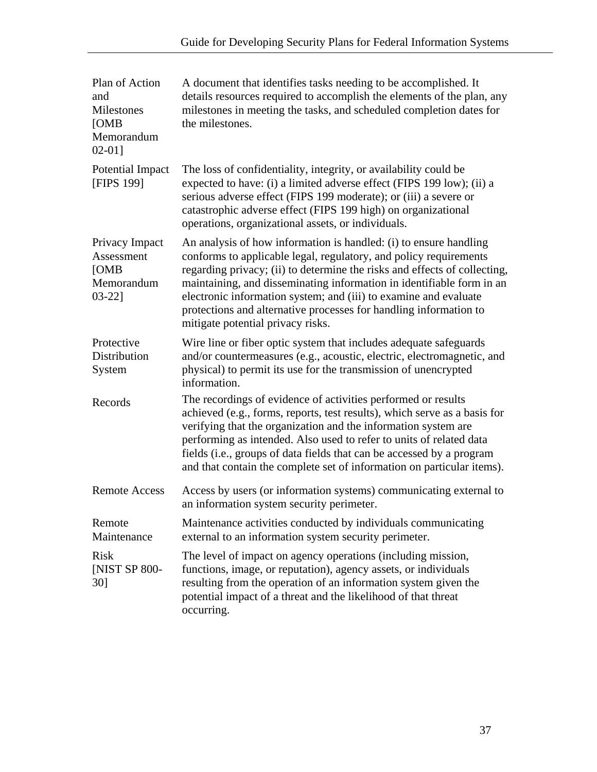| Plan of Action<br>and<br>Milestones<br>[OMB]<br>Memorandum<br>$02-01$ ] | A document that identifies tasks needing to be accomplished. It<br>details resources required to accomplish the elements of the plan, any<br>milestones in meeting the tasks, and scheduled completion dates for<br>the milestones.                                                                                                                                                                                                                                        |
|-------------------------------------------------------------------------|----------------------------------------------------------------------------------------------------------------------------------------------------------------------------------------------------------------------------------------------------------------------------------------------------------------------------------------------------------------------------------------------------------------------------------------------------------------------------|
| Potential Impact<br>[FIPS 199]                                          | The loss of confidentiality, integrity, or availability could be<br>expected to have: (i) a limited adverse effect (FIPS 199 low); (ii) a<br>serious adverse effect (FIPS 199 moderate); or (iii) a severe or<br>catastrophic adverse effect (FIPS 199 high) on organizational<br>operations, organizational assets, or individuals.                                                                                                                                       |
| Privacy Impact<br>Assessment<br>[OMB]<br>Memorandum<br>$03-22$ ]        | An analysis of how information is handled: (i) to ensure handling<br>conforms to applicable legal, regulatory, and policy requirements<br>regarding privacy; (ii) to determine the risks and effects of collecting,<br>maintaining, and disseminating information in identifiable form in an<br>electronic information system; and (iii) to examine and evaluate<br>protections and alternative processes for handling information to<br>mitigate potential privacy risks. |
| Protective<br>Distribution<br>System                                    | Wire line or fiber optic system that includes adequate safeguards<br>and/or countermeasures (e.g., acoustic, electric, electromagnetic, and<br>physical) to permit its use for the transmission of unencrypted<br>information.                                                                                                                                                                                                                                             |
| Records                                                                 | The recordings of evidence of activities performed or results<br>achieved (e.g., forms, reports, test results), which serve as a basis for<br>verifying that the organization and the information system are<br>performing as intended. Also used to refer to units of related data<br>fields (i.e., groups of data fields that can be accessed by a program<br>and that contain the complete set of information on particular items).                                     |
| <b>Remote Access</b>                                                    | Access by users (or information systems) communicating external to<br>an information system security perimeter.                                                                                                                                                                                                                                                                                                                                                            |
| Remote<br>Maintenance                                                   | Maintenance activities conducted by individuals communicating<br>external to an information system security perimeter.                                                                                                                                                                                                                                                                                                                                                     |
| <b>Risk</b><br><b>[NIST SP 800-</b><br>30]                              | The level of impact on agency operations (including mission,<br>functions, image, or reputation), agency assets, or individuals<br>resulting from the operation of an information system given the<br>potential impact of a threat and the likelihood of that threat<br>occurring.                                                                                                                                                                                         |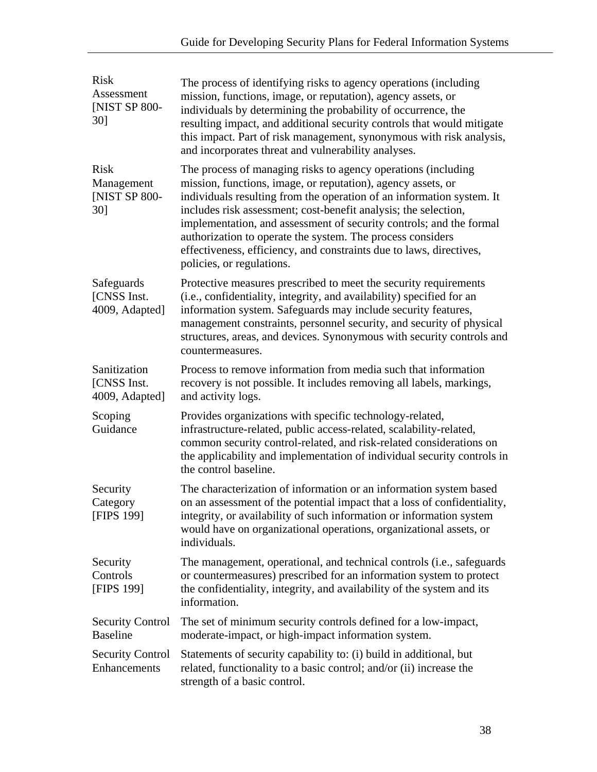| <b>Risk</b><br>Assessment<br>[NIST SP 800-<br>30] | The process of identifying risks to agency operations (including<br>mission, functions, image, or reputation), agency assets, or<br>individuals by determining the probability of occurrence, the<br>resulting impact, and additional security controls that would mitigate<br>this impact. Part of risk management, synonymous with risk analysis,<br>and incorporates threat and vulnerability analyses.                                                                                                         |
|---------------------------------------------------|--------------------------------------------------------------------------------------------------------------------------------------------------------------------------------------------------------------------------------------------------------------------------------------------------------------------------------------------------------------------------------------------------------------------------------------------------------------------------------------------------------------------|
| <b>Risk</b><br>Management<br>[NIST SP 800-<br>30] | The process of managing risks to agency operations (including<br>mission, functions, image, or reputation), agency assets, or<br>individuals resulting from the operation of an information system. It<br>includes risk assessment; cost-benefit analysis; the selection,<br>implementation, and assessment of security controls; and the formal<br>authorization to operate the system. The process considers<br>effectiveness, efficiency, and constraints due to laws, directives,<br>policies, or regulations. |
| Safeguards<br>[CNSS Inst.<br>4009, Adapted]       | Protective measures prescribed to meet the security requirements<br>(i.e., confidentiality, integrity, and availability) specified for an<br>information system. Safeguards may include security features,<br>management constraints, personnel security, and security of physical<br>structures, areas, and devices. Synonymous with security controls and<br>countermeasures.                                                                                                                                    |
| Sanitization<br>[CNSS Inst.<br>4009, Adapted]     | Process to remove information from media such that information<br>recovery is not possible. It includes removing all labels, markings,<br>and activity logs.                                                                                                                                                                                                                                                                                                                                                       |
| Scoping<br>Guidance                               | Provides organizations with specific technology-related,<br>infrastructure-related, public access-related, scalability-related,<br>common security control-related, and risk-related considerations on<br>the applicability and implementation of individual security controls in<br>the control baseline.                                                                                                                                                                                                         |
| Security<br>Category<br><b>[FIPS 199]</b>         | The characterization of information or an information system based<br>on an assessment of the potential impact that a loss of confidentiality,<br>integrity, or availability of such information or information system<br>would have on organizational operations, organizational assets, or<br>individuals.                                                                                                                                                                                                       |
| Security<br>Controls<br>[FIPS 199]                | The management, operational, and technical controls (i.e., safeguards<br>or countermeasures) prescribed for an information system to protect<br>the confidentiality, integrity, and availability of the system and its<br>information.                                                                                                                                                                                                                                                                             |
| <b>Security Control</b><br><b>Baseline</b>        | The set of minimum security controls defined for a low-impact,<br>moderate-impact, or high-impact information system.                                                                                                                                                                                                                                                                                                                                                                                              |
| <b>Security Control</b><br>Enhancements           | Statements of security capability to: (i) build in additional, but<br>related, functionality to a basic control; and/or (ii) increase the<br>strength of a basic control.                                                                                                                                                                                                                                                                                                                                          |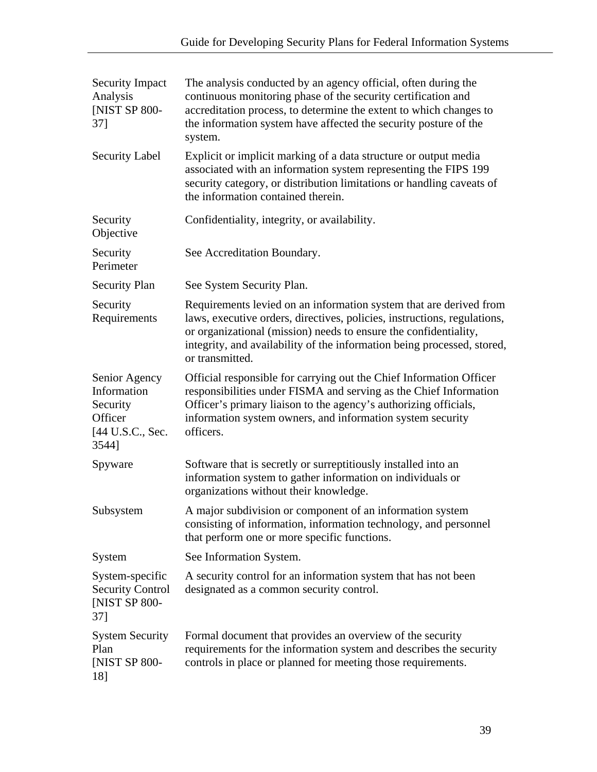| <b>Security Impact</b><br>Analysis<br>[NIST SP 800-<br>37]                       | The analysis conducted by an agency official, often during the<br>continuous monitoring phase of the security certification and<br>accreditation process, to determine the extent to which changes to<br>the information system have affected the security posture of the<br>system.                             |
|----------------------------------------------------------------------------------|------------------------------------------------------------------------------------------------------------------------------------------------------------------------------------------------------------------------------------------------------------------------------------------------------------------|
| <b>Security Label</b>                                                            | Explicit or implicit marking of a data structure or output media<br>associated with an information system representing the FIPS 199<br>security category, or distribution limitations or handling caveats of<br>the information contained therein.                                                               |
| Security<br>Objective                                                            | Confidentiality, integrity, or availability.                                                                                                                                                                                                                                                                     |
| Security<br>Perimeter                                                            | See Accreditation Boundary.                                                                                                                                                                                                                                                                                      |
| <b>Security Plan</b>                                                             | See System Security Plan.                                                                                                                                                                                                                                                                                        |
| Security<br>Requirements                                                         | Requirements levied on an information system that are derived from<br>laws, executive orders, directives, policies, instructions, regulations,<br>or organizational (mission) needs to ensure the confidentiality,<br>integrity, and availability of the information being processed, stored,<br>or transmitted. |
| Senior Agency<br>Information<br>Security<br>Officer<br>[44 U.S.C., Sec.<br>3544] | Official responsible for carrying out the Chief Information Officer<br>responsibilities under FISMA and serving as the Chief Information<br>Officer's primary liaison to the agency's authorizing officials,<br>information system owners, and information system security<br>officers.                          |
| Spyware                                                                          | Software that is secretly or surreptitiously installed into an<br>information system to gather information on individuals or<br>organizations without their knowledge.                                                                                                                                           |
| Subsystem                                                                        | A major subdivision or component of an information system<br>consisting of information, information technology, and personnel<br>that perform one or more specific functions.                                                                                                                                    |
| System                                                                           | See Information System.                                                                                                                                                                                                                                                                                          |
| System-specific<br><b>Security Control</b><br>[NIST SP 800-<br>37]               | A security control for an information system that has not been<br>designated as a common security control.                                                                                                                                                                                                       |
| <b>System Security</b><br>Plan<br>[NIST SP 800-<br>18]                           | Formal document that provides an overview of the security<br>requirements for the information system and describes the security<br>controls in place or planned for meeting those requirements.                                                                                                                  |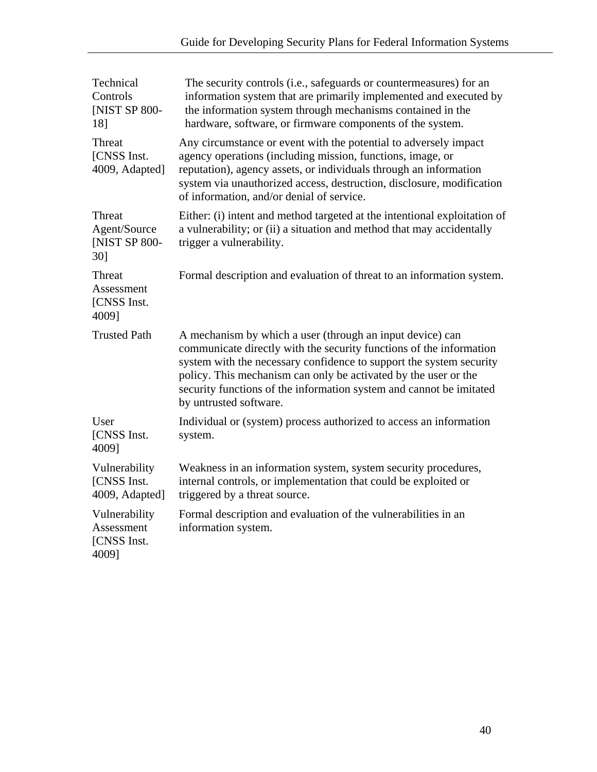| Technical<br>Controls<br>[NIST SP 800-<br>18]       | The security controls (i.e., safeguards or countermeasures) for an<br>information system that are primarily implemented and executed by<br>the information system through mechanisms contained in the<br>hardware, software, or firmware components of the system.                                                                                                          |
|-----------------------------------------------------|-----------------------------------------------------------------------------------------------------------------------------------------------------------------------------------------------------------------------------------------------------------------------------------------------------------------------------------------------------------------------------|
| Threat<br>[CNSS Inst.<br>4009, Adapted]             | Any circumstance or event with the potential to adversely impact<br>agency operations (including mission, functions, image, or<br>reputation), agency assets, or individuals through an information<br>system via unauthorized access, destruction, disclosure, modification<br>of information, and/or denial of service.                                                   |
| Threat<br>Agent/Source<br>[NIST SP 800-<br>30]      | Either: (i) intent and method targeted at the intentional exploitation of<br>a vulnerability; or (ii) a situation and method that may accidentally<br>trigger a vulnerability.                                                                                                                                                                                              |
| Threat<br>Assessment<br>[CNSS Inst.<br>4009]        | Formal description and evaluation of threat to an information system.                                                                                                                                                                                                                                                                                                       |
| <b>Trusted Path</b>                                 | A mechanism by which a user (through an input device) can<br>communicate directly with the security functions of the information<br>system with the necessary confidence to support the system security<br>policy. This mechanism can only be activated by the user or the<br>security functions of the information system and cannot be imitated<br>by untrusted software. |
| User<br>[CNSS Inst.<br>4009]                        | Individual or (system) process authorized to access an information<br>system.                                                                                                                                                                                                                                                                                               |
| Vulnerability<br>[CNSS Inst.<br>4009, Adapted]      | Weakness in an information system, system security procedures,<br>internal controls, or implementation that could be exploited or<br>triggered by a threat source.                                                                                                                                                                                                          |
| Vulnerability<br>Assessment<br>[CNSS Inst.<br>40091 | Formal description and evaluation of the vulnerabilities in an<br>information system.                                                                                                                                                                                                                                                                                       |